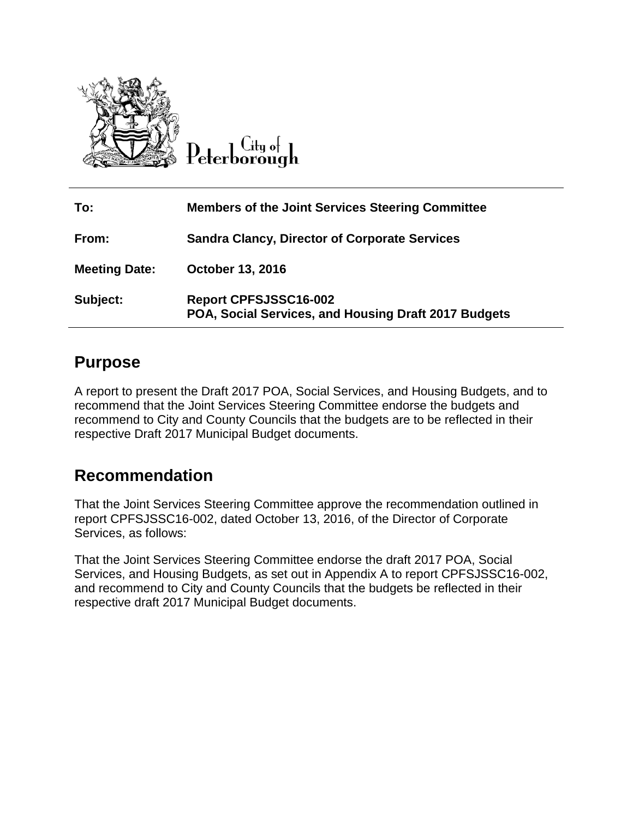

City of

| To:                  | <b>Members of the Joint Services Steering Committee</b>                              |
|----------------------|--------------------------------------------------------------------------------------|
| From:                | <b>Sandra Clancy, Director of Corporate Services</b>                                 |
| <b>Meeting Date:</b> | October 13, 2016                                                                     |
| Subject:             | <b>Report CPFSJSSC16-002</b><br>POA, Social Services, and Housing Draft 2017 Budgets |

# **Purpose**

A report to present the Draft 2017 POA, Social Services, and Housing Budgets, and to recommend that the Joint Services Steering Committee endorse the budgets and recommend to City and County Councils that the budgets are to be reflected in their respective Draft 2017 Municipal Budget documents.

## **Recommendation**

That the Joint Services Steering Committee approve the recommendation outlined in report CPFSJSSC16-002, dated October 13, 2016, of the Director of Corporate Services, as follows:

That the Joint Services Steering Committee endorse the draft 2017 POA, Social Services, and Housing Budgets, as set out in Appendix A to report CPFSJSSC16-002, and recommend to City and County Councils that the budgets be reflected in their respective draft 2017 Municipal Budget documents.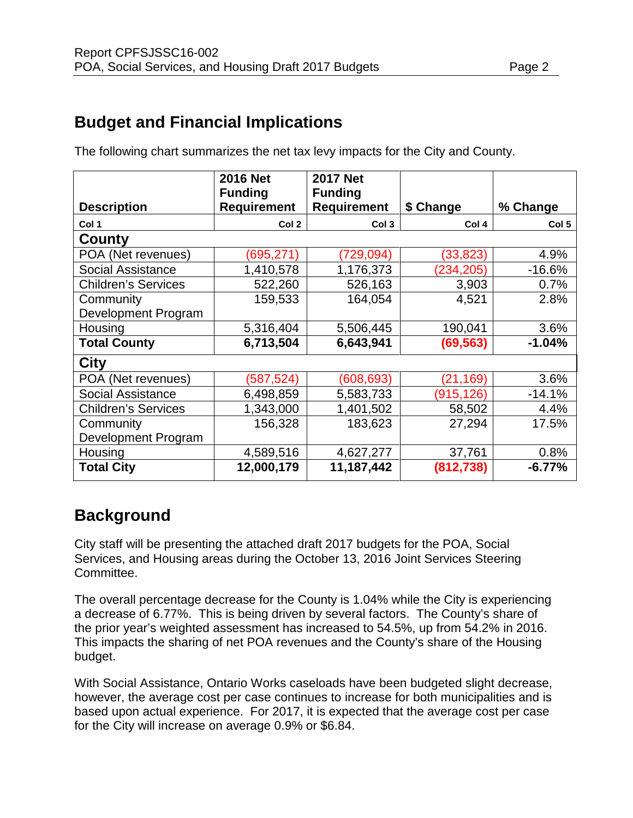# **Budget and Financial Implications**

|                            | <b>2016 Net</b><br><b>Funding</b> | <b>2017 Net</b><br><b>Funding</b> |                  |                  |
|----------------------------|-----------------------------------|-----------------------------------|------------------|------------------|
| <b>Description</b>         | <b>Requirement</b>                | <b>Requirement</b>                | \$ Change        | % Change         |
| Col 1                      | Col 2                             | Col <sub>3</sub>                  | Col <sub>4</sub> | Col <sub>5</sub> |
| County                     |                                   |                                   |                  |                  |
| POA (Net revenues)         | (695, 271)                        | (729, 094)                        | (33, 823)        | 4.9%             |
| <b>Social Assistance</b>   | 1,410,578                         | 1,176,373                         | (234,205)        | $-16.6%$         |
| <b>Children's Services</b> | 522,260                           | 526,163                           | 3,903            | 0.7%             |
| Community                  | 159,533                           | 164,054                           | 4,521            | 2.8%             |
| Development Program        |                                   |                                   |                  |                  |
| Housing                    | 5,316,404                         | 5,506,445                         | 190,041          | 3.6%             |
| <b>Total County</b>        | 6,713,504                         | 6,643,941                         | (69, 563)        | $-1.04%$         |
| City                       |                                   |                                   |                  |                  |
| POA (Net revenues)         | (587, 524)                        | (608, 693)                        | (21, 169)        | 3.6%             |
| <b>Social Assistance</b>   | 6,498,859                         | 5,583,733                         | (915,126)        | $-14.1%$         |
| <b>Children's Services</b> | 1,343,000                         | 1,401,502                         | 58,502           | 4.4%             |
| Community                  | 156,328                           | 183,623                           | 27,294           | 17.5%            |
| Development Program        |                                   |                                   |                  |                  |
| Housing                    | 4,589,516                         | 4,627,277                         | 37,761           | 0.8%             |
| <b>Total City</b>          | 12,000,179                        | 11,187,442                        | (812, 738)       | $-6.77%$         |

The following chart summarizes the net tax levy impacts for the City and County.

# **Background**

City staff will be presenting the attached draft 2017 budgets for the POA, Social Services, and Housing areas during the October 13, 2016 Joint Services Steering Committee.

The overall percentage decrease for the County is 1.04% while the City is experiencing a decrease of 6.77%. This is being driven by several factors. The County's share of the prior year's weighted assessment has increased to 54.5%, up from 54.2% in 2016. This impacts the sharing of net POA revenues and the County's share of the Housing budget.

With Social Assistance, Ontario Works caseloads have been budgeted slight decrease, however, the average cost per case continues to increase for both municipalities and is based upon actual experience. For 2017, it is expected that the average cost per case for the City will increase on average 0.9% or \$6.84.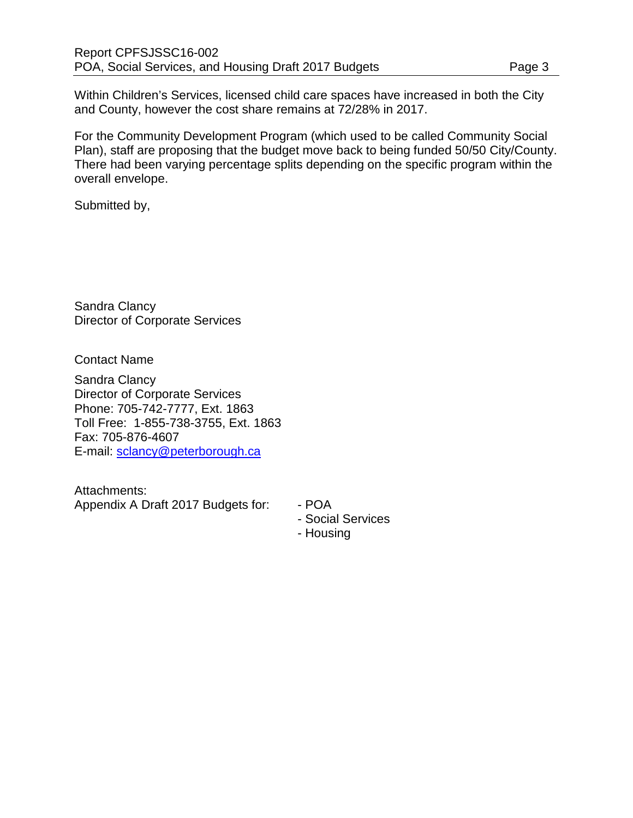Within Children's Services, licensed child care spaces have increased in both the City and County, however the cost share remains at 72/28% in 2017.

For the Community Development Program (which used to be called Community Social Plan), staff are proposing that the budget move back to being funded 50/50 City/County. There had been varying percentage splits depending on the specific program within the overall envelope.

Submitted by,

Sandra Clancy Director of Corporate Services

Contact Name

Sandra Clancy Director of Corporate Services Phone: 705-742-7777, Ext. 1863 Toll Free: 1-855-738-3755, Ext. 1863 Fax: 705-876-4607 E-mail: [sclancy@peterborough.ca](mailto:sclancy@peterborough.ca)

Attachments: Appendix A Draft 2017 Budgets for: - POA

- Social Services
- Housing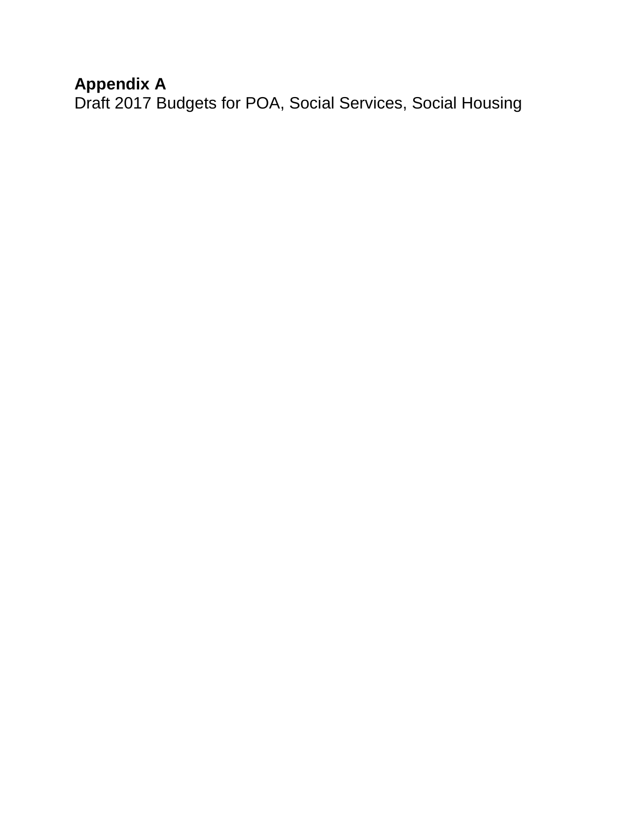# **Appendix A**

Draft 2017 Budgets for POA, Social Services, Social Housing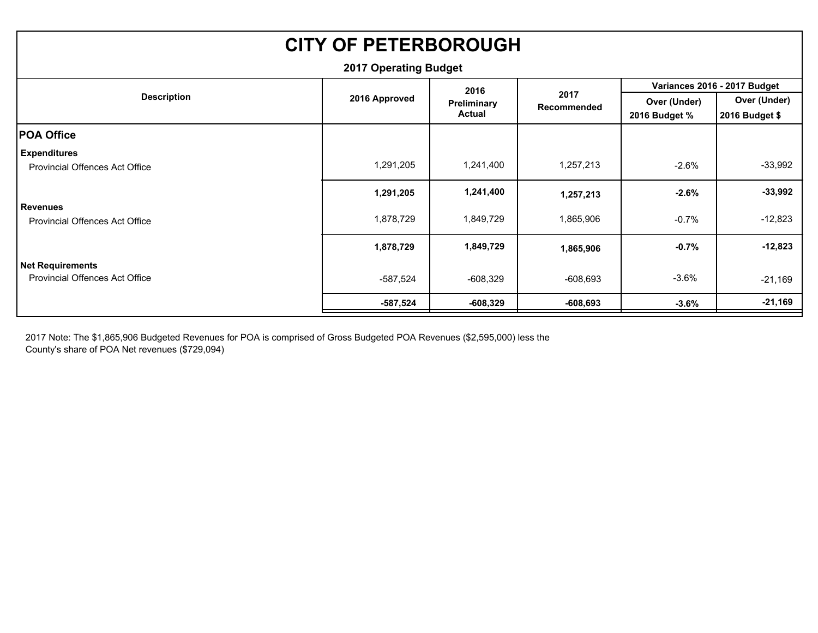| <b>CITY OF PETERBOROUGH</b>           |               |               |                     |               |                              |  |  |  |  |
|---------------------------------------|---------------|---------------|---------------------|---------------|------------------------------|--|--|--|--|
| <b>2017 Operating Budget</b>          |               |               |                     |               |                              |  |  |  |  |
|                                       |               | 2016          |                     |               | Variances 2016 - 2017 Budget |  |  |  |  |
| <b>Description</b>                    | 2016 Approved | Preliminary   | 2017<br>Recommended | Over (Under)  | Over (Under)                 |  |  |  |  |
|                                       |               | <b>Actual</b> |                     | 2016 Budget % | 2016 Budget \$               |  |  |  |  |
| <b>POA Office</b>                     |               |               |                     |               |                              |  |  |  |  |
| Expenditures                          |               |               |                     |               |                              |  |  |  |  |
| <b>Provincial Offences Act Office</b> | 1,291,205     | 1,241,400     | 1,257,213           | $-2.6\%$      | $-33,992$                    |  |  |  |  |
|                                       | 1,291,205     | 1,241,400     | 1,257,213           | $-2.6%$       | $-33,992$                    |  |  |  |  |
| <b>Revenues</b>                       |               |               |                     |               |                              |  |  |  |  |
| Provincial Offences Act Office        | 1,878,729     | 1,849,729     | 1,865,906           | $-0.7%$       | $-12,823$                    |  |  |  |  |
|                                       | 1,878,729     | 1,849,729     | 1,865,906           | $-0.7%$       | $-12,823$                    |  |  |  |  |
| Net Requirements                      |               |               |                     |               |                              |  |  |  |  |
| <b>Provincial Offences Act Office</b> | -587,524      | -608,329      | $-608,693$          | $-3.6%$       | $-21,169$                    |  |  |  |  |
|                                       | $-587,524$    | $-608,329$    | $-608,693$          | $-3.6\%$      | $-21,169$                    |  |  |  |  |

2017 Note: The \$1,865,906 Budgeted Revenues for POA is comprised of Gross Budgeted POA Revenues (\$2,595,000) less the County's share of POA Net revenues (\$729,094)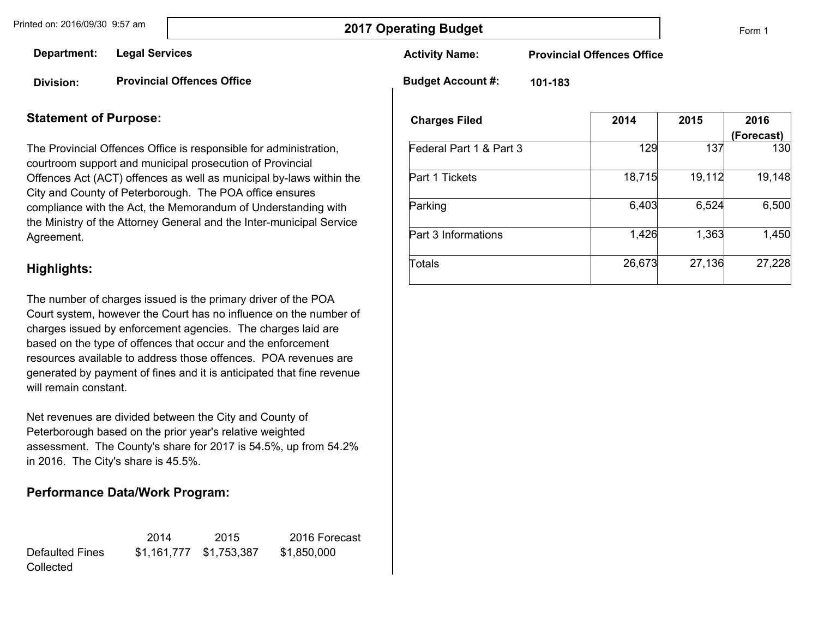Form 1

**Department: Legal Services**

**Division: Provincial Offences Office** **Activity Name:** 

**Provincial Offences Office**

**Budget Account #:** 

**101-183**

#### **Statement of Purpose:**

The Provincial Offences Office is responsible for administration, courtroom support and municipal prosecution of Provincial Offences Act (ACT) offences as well as municipal by-laws within the City and County of Peterborough. The POA office ensures compliance with the Act, the Memorandum of Understanding with the Ministry of the Attorney General and the Inter-municipal Service Agreement.

#### **Highlights:**

The number of charges issued is the primary driver of the POA Court system, however the Court has no influence on the number of charges issued by enforcement agencies. The charges laid are based on the type of offences that occur and the enforcement resources available to address those offences. POA revenues are generated by payment of fines and it is anticipated that fine revenue will remain constant.

Net revenues are divided between the City and County of Peterborough based on the prior year's relative weighted assessment. The County's share for 2017 is 54.5%, up from 54.2% in 2016. The City's share is 45.5%.

#### **Performance Data/Work Program:**

|                 | 2014 | 2015                    | 2016 Forecast |
|-----------------|------|-------------------------|---------------|
| Defaulted Fines |      | \$1,161,777 \$1,753,387 | \$1,850,000   |
| Collected       |      |                         |               |

| <b>Charges Filed</b>    | 2014   | 2015   | 2016<br>(Forecast) |
|-------------------------|--------|--------|--------------------|
| Federal Part 1 & Part 3 | 129    | 137    | 130                |
| Part 1 Tickets          | 18,715 | 19,112 | 19,148             |
| Parking                 | 6,403  | 6,524  | 6,500              |
| Part 3 Informations     | 1,426  | 1,363  | 1,450              |
| Totals                  | 26,673 | 27,136 | 27,228             |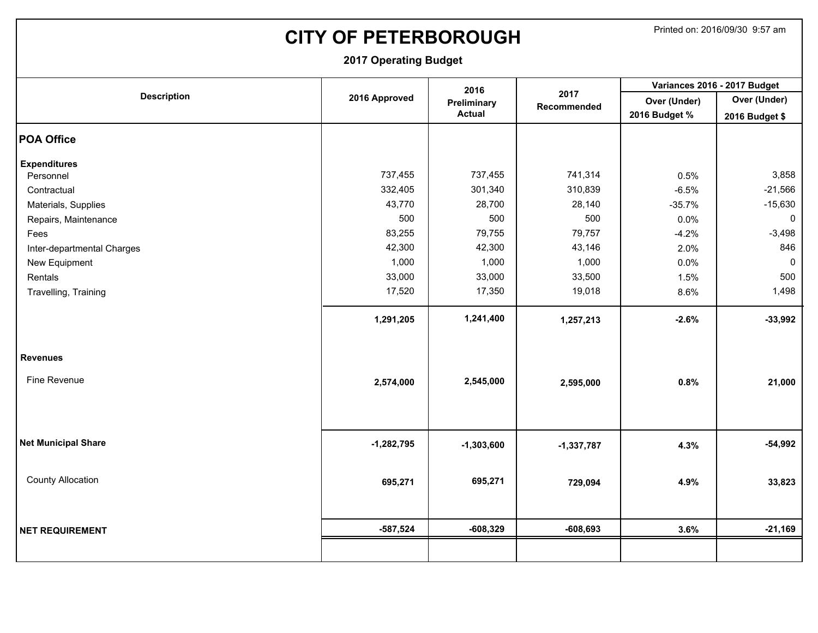# **CITY OF PETERBOROUGH** Printed on: 2016/09/30 9:57 am

|                            |               | 2016          |                     | Variances 2016 - 2017 Budget |                     |  |
|----------------------------|---------------|---------------|---------------------|------------------------------|---------------------|--|
| <b>Description</b>         | 2016 Approved | Preliminary   | 2017<br>Recommended | Over (Under)                 | Over (Under)        |  |
|                            |               | <b>Actual</b> |                     | 2016 Budget %                | 2016 Budget \$      |  |
| <b>POA Office</b>          |               |               |                     |                              |                     |  |
| <b>Expenditures</b>        |               |               |                     |                              |                     |  |
| Personnel                  | 737,455       | 737,455       | 741,314             | 0.5%                         | 3,858               |  |
| Contractual                | 332,405       | 301,340       | 310,839             | $-6.5%$                      | $-21,566$           |  |
| Materials, Supplies        | 43,770        | 28,700        | 28,140              | $-35.7%$                     | $-15,630$           |  |
| Repairs, Maintenance       | 500           | 500           | 500                 | 0.0%                         | $\mathsf{O}\xspace$ |  |
| Fees                       | 83,255        | 79,755        | 79,757              | $-4.2%$                      | $-3,498$            |  |
| Inter-departmental Charges | 42,300        | 42,300        | 43,146              | 2.0%                         | 846                 |  |
| New Equipment              | 1,000         | 1,000         | 1,000               | 0.0%                         | $\mathbf 0$         |  |
| Rentals                    | 33,000        | 33,000        | 33,500              | 1.5%                         | 500                 |  |
| Travelling, Training       | 17,520        | 17,350        | 19,018              | 8.6%                         | 1,498               |  |
|                            | 1,291,205     | 1,241,400     | 1,257,213           | $-2.6%$                      | $-33,992$           |  |
|                            |               |               |                     |                              |                     |  |
|                            |               |               |                     |                              |                     |  |
| <b>Revenues</b>            |               |               |                     |                              |                     |  |
| Fine Revenue               | 2,574,000     | 2,545,000     | 2,595,000           | 0.8%                         | 21,000              |  |
|                            |               |               |                     |                              |                     |  |
|                            |               |               |                     |                              |                     |  |
|                            |               |               |                     |                              |                     |  |
| <b>Net Municipal Share</b> | $-1,282,795$  | $-1,303,600$  | $-1,337,787$        | 4.3%                         | $-54,992$           |  |
|                            |               |               |                     |                              |                     |  |
| <b>County Allocation</b>   | 695,271       | 695,271       | 729,094             | 4.9%                         | 33,823              |  |
|                            |               |               |                     |                              |                     |  |
|                            |               |               |                     |                              |                     |  |
| <b>NET REQUIREMENT</b>     | $-587,524$    | $-608,329$    | $-608,693$          | 3.6%                         | $-21,169$           |  |
|                            |               |               |                     |                              |                     |  |
|                            |               |               |                     |                              |                     |  |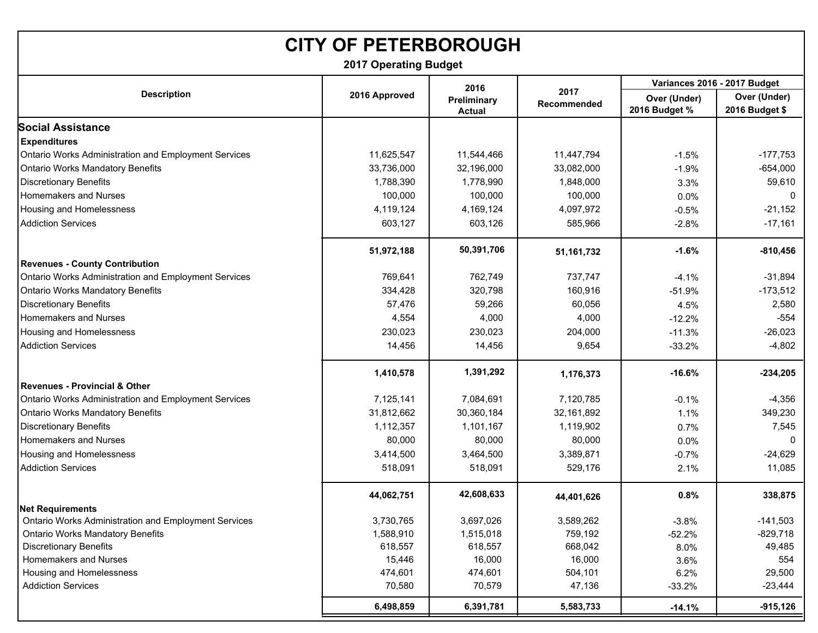# **CITY OF PETERBOROUGH**

**2017 Operating Budget**

|                                                      |               | 2016                         |                     | Variances 2016 - 2017 Budget  |                                |  |
|------------------------------------------------------|---------------|------------------------------|---------------------|-------------------------------|--------------------------------|--|
| <b>Description</b>                                   | 2016 Approved | Preliminary<br><b>Actual</b> | 2017<br>Recommended | Over (Under)<br>2016 Budget % | Over (Under)<br>2016 Budget \$ |  |
| <b>Social Assistance</b>                             |               |                              |                     |                               |                                |  |
| <b>Expenditures</b>                                  |               |                              |                     |                               |                                |  |
| Ontario Works Administration and Employment Services | 11,625,547    | 11,544,466                   | 11,447,794          | $-1.5%$                       | $-177,753$                     |  |
| <b>Ontario Works Mandatory Benefits</b>              | 33,736,000    | 32,196,000                   | 33,082,000          | $-1.9%$                       | $-654,000$                     |  |
| <b>Discretionary Benefits</b>                        | 1,788,390     | 1,778,990                    | 1,848,000           | 3.3%                          | 59,610                         |  |
| Homemakers and Nurses                                | 100,000       | 100,000                      | 100,000             | 0.0%                          | $\Omega$                       |  |
| Housing and Homelessness                             | 4,119,124     | 4,169,124                    | 4,097,972           | $-0.5%$                       | $-21,152$                      |  |
| <b>Addiction Services</b>                            | 603,127       | 603,126                      | 585,966             | $-2.8%$                       | $-17,161$                      |  |
|                                                      | 51,972,188    | 50,391,706                   | 51, 161, 732        | $-1.6%$                       | $-810,456$                     |  |
| <b>Revenues - County Contribution</b>                |               |                              |                     |                               |                                |  |
| Ontario Works Administration and Employment Services | 769,641       | 762,749                      | 737,747             | $-4.1%$                       | $-31,894$                      |  |
| <b>Ontario Works Mandatory Benefits</b>              | 334,428       | 320,798                      | 160,916             | $-51.9%$                      | $-173,512$                     |  |
| <b>Discretionary Benefits</b>                        | 57,476        | 59,266                       | 60,056              | 4.5%                          | 2,580                          |  |
| Homemakers and Nurses                                | 4,554         | 4,000                        | 4,000               | $-12.2%$                      | $-554$                         |  |
| Housing and Homelessness                             | 230,023       | 230,023                      | 204,000             | $-11.3%$                      | $-26,023$                      |  |
| <b>Addiction Services</b>                            | 14,456        | 14,456                       | 9,654               | $-33.2%$                      | $-4,802$                       |  |
|                                                      | 1,410,578     | 1,391,292                    | 1,176,373           | $-16.6%$                      | $-234,205$                     |  |
| <b>Revenues - Provincial &amp; Other</b>             |               |                              |                     |                               |                                |  |
| Ontario Works Administration and Employment Services | 7,125,141     | 7,084,691                    | 7,120,785           | $-0.1%$                       | $-4,356$                       |  |
| <b>Ontario Works Mandatory Benefits</b>              | 31,812,662    | 30,360,184                   | 32, 161, 892        | 1.1%                          | 349,230                        |  |
| <b>Discretionary Benefits</b>                        | 1,112,357     | 1,101,167                    | 1,119,902           | 0.7%                          | 7,545                          |  |
| Homemakers and Nurses                                | 80,000        | 80,000                       | 80,000              | 0.0%                          |                                |  |
| Housing and Homelessness                             | 3,414,500     | 3,464,500                    | 3,389,871           | $-0.7%$                       | $-24,629$                      |  |
| <b>Addiction Services</b>                            | 518,091       | 518,091                      | 529,176             | 2.1%                          | 11,085                         |  |
|                                                      | 44,062,751    | 42,608,633                   | 44,401,626          | 0.8%                          | 338,875                        |  |
| <b>Net Requirements</b>                              |               |                              |                     |                               |                                |  |
| Ontario Works Administration and Employment Services | 3,730,765     | 3,697,026                    | 3,589,262           | $-3.8%$                       | $-141,503$                     |  |
| <b>Ontario Works Mandatory Benefits</b>              | 1,588,910     | 1,515,018                    | 759,192             | $-52.2%$                      | $-829,718$                     |  |
| <b>Discretionary Benefits</b>                        | 618,557       | 618,557                      | 668,042             | 8.0%                          | 49,485                         |  |
| Homemakers and Nurses                                | 15,446        | 16,000                       | 16,000              | 3.6%                          | 554                            |  |
| Housing and Homelessness                             | 474,601       | 474,601                      | 504,101             | 6.2%                          | 29,500                         |  |
| <b>Addiction Services</b>                            | 70,580        | 70,579                       | 47,136              | $-33.2%$                      | $-23,444$                      |  |
|                                                      | 6,498,859     | 6,391,781                    | 5,583,733           | $-14.1%$                      | $-915, 126$                    |  |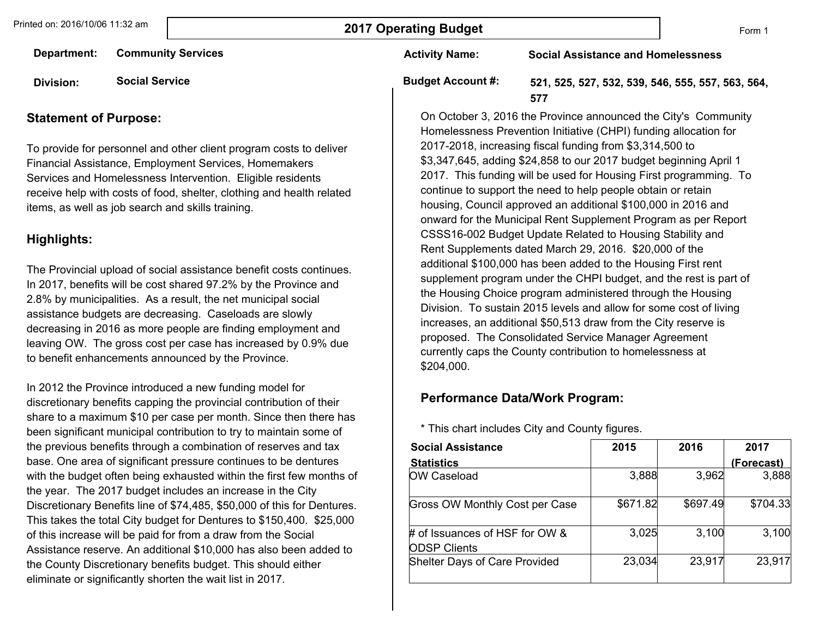**Department: Community Services**

**Division: Social Service**

#### **Statement of Purpose:**

To provide for personnel and other client program costs to deliver Financial Assistance, Employment Services, Homemakers Services and Homelessness Intervention. Eligible residents receive help with costs of food, shelter, clothing and health related items, as well as job search and skills training.

#### **Highlights:**

The Provincial upload of social assistance benefit costs continues. In 2017, benefits will be cost shared 97.2% by the Province and 2.8% by municipalities. As a result, the net municipal social assistance budgets are decreasing. Caseloads are slowly decreasing in 2016 as more people are finding employment and leaving OW. The gross cost per case has increased by 0.9% due to benefit enhancements announced by the Province.

In 2012 the Province introduced a new funding model for discretionary benefits capping the provincial contribution of their share to a maximum \$10 per case per month. Since then there has been significant municipal contribution to try to maintain some of the previous benefits through a combination of reserves and tax base. One area of significant pressure continues to be dentures with the budget often being exhausted within the first few months of the year. The 2017 budget includes an increase in the City Discretionary Benefits line of \$74,485, \$50,000 of this for Dentures. This takes the total City budget for Dentures to \$150,400. \$25,000 of this increase will be paid for from a draw from the Social Assistance reserve. An additional \$10,000 has also been added to the County Discretionary benefits budget. This should either eliminate or significantly shorten the wait list in 2017.

**Activity Name:** 

**Social Assistance and Homelessness**

# **Budget Account #:**

**521, 525, 527, 532, 539, 546, 555, 557, 563, 564, 577**

On October 3, 2016 the Province announced the City's Community Homelessness Prevention Initiative (CHPI) funding allocation for 2017-2018, increasing fiscal funding from \$3,314,500 to \$3,347,645, adding \$24,858 to our 2017 budget beginning April 1 2017. This funding will be used for Housing First programming. To continue to support the need to help people obtain or retain housing, Council approved an additional \$100,000 in 2016 and onward for the Municipal Rent Supplement Program as per Report CSSS16-002 Budget Update Related to Housing Stability and Rent Supplements dated March 29, 2016. \$20,000 of the additional \$100,000 has been added to the Housing First rent supplement program under the CHPI budget, and the rest is part of the Housing Choice program administered through the Housing Division. To sustain 2015 levels and allow for some cost of living increases, an additional \$50,513 draw from the City reserve is proposed. The Consolidated Service Manager Agreement currently caps the County contribution to homelessness at \$204,000.

#### **Performance Data/Work Program:**

\* This chart includes City and County figures.

| <b>Social Assistance</b>                              | 2015     | 2016     | 2017       |
|-------------------------------------------------------|----------|----------|------------|
| <b>Statistics</b>                                     |          |          | (Forecast) |
| OW Caseload                                           | 3,888    | 3,962    | 3,888      |
| <b>Gross OW Monthly Cost per Case</b>                 | \$671.82 | \$697.49 | \$704.33   |
| # of Issuances of HSF for OW &<br><b>ODSP Clients</b> | 3,025    | 3,100    | 3,100      |
| <b>Shelter Days of Care Provided</b>                  | 23,034   | 23,917   | 23,917     |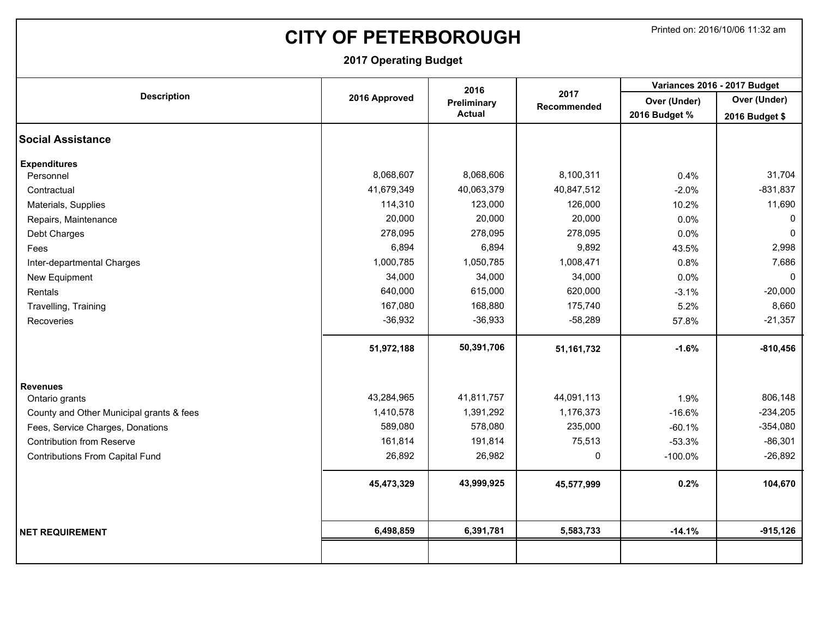# **CITY OF PETERBOROUGH** Printed on: 2016/10/06 11:32 am

|                                          |               | 2016          |                            | Variances 2016 - 2017 Budget |                |  |
|------------------------------------------|---------------|---------------|----------------------------|------------------------------|----------------|--|
| <b>Description</b>                       | 2016 Approved | Preliminary   | 2017<br><b>Recommended</b> | Over (Under)                 | Over (Under)   |  |
|                                          |               | <b>Actual</b> |                            | 2016 Budget %                | 2016 Budget \$ |  |
| <b>Social Assistance</b>                 |               |               |                            |                              |                |  |
| <b>Expenditures</b>                      |               |               |                            |                              |                |  |
| Personnel                                | 8,068,607     | 8,068,606     | 8,100,311                  | 0.4%                         | 31,704         |  |
| Contractual                              | 41,679,349    | 40,063,379    | 40,847,512                 | $-2.0%$                      | $-831,837$     |  |
| Materials, Supplies                      | 114,310       | 123,000       | 126,000                    | 10.2%                        | 11,690         |  |
| Repairs, Maintenance                     | 20,000        | 20,000        | 20,000                     | 0.0%                         | 0              |  |
| Debt Charges                             | 278,095       | 278,095       | 278,095                    | 0.0%                         | $\mathbf{0}$   |  |
| Fees                                     | 6,894         | 6,894         | 9,892                      | 43.5%                        | 2,998          |  |
| Inter-departmental Charges               | 1,000,785     | 1,050,785     | 1,008,471                  | 0.8%                         | 7,686          |  |
| New Equipment                            | 34,000        | 34,000        | 34,000                     | 0.0%                         | $\mathbf{0}$   |  |
| Rentals                                  | 640,000       | 615,000       | 620,000                    | $-3.1%$                      | $-20,000$      |  |
| Travelling, Training                     | 167,080       | 168,880       | 175,740                    | 5.2%                         | 8,660          |  |
| Recoveries                               | $-36,932$     | $-36,933$     | $-58,289$                  | 57.8%                        | $-21,357$      |  |
|                                          | 51,972,188    | 50,391,706    | 51, 161, 732               | $-1.6%$                      | $-810,456$     |  |
| <b>Revenues</b>                          |               |               |                            |                              |                |  |
| Ontario grants                           | 43,284,965    | 41,811,757    | 44,091,113                 | 1.9%                         | 806,148        |  |
| County and Other Municipal grants & fees | 1,410,578     | 1,391,292     | 1,176,373                  | $-16.6%$                     | $-234,205$     |  |
| Fees, Service Charges, Donations         | 589,080       | 578,080       | 235,000                    | $-60.1%$                     | $-354,080$     |  |
| <b>Contribution from Reserve</b>         | 161,814       | 191,814       | 75,513                     | $-53.3%$                     | $-86,301$      |  |
| <b>Contributions From Capital Fund</b>   | 26,892        | 26,982        | $\mathbf 0$                | $-100.0\%$                   | $-26,892$      |  |
|                                          | 45,473,329    | 43,999,925    | 45,577,999                 | 0.2%                         | 104,670        |  |
|                                          |               |               |                            |                              |                |  |
| <b>NET REQUIREMENT</b>                   | 6,498,859     | 6,391,781     | 5,583,733                  | $-14.1%$                     | $-915, 126$    |  |
|                                          |               |               |                            |                              |                |  |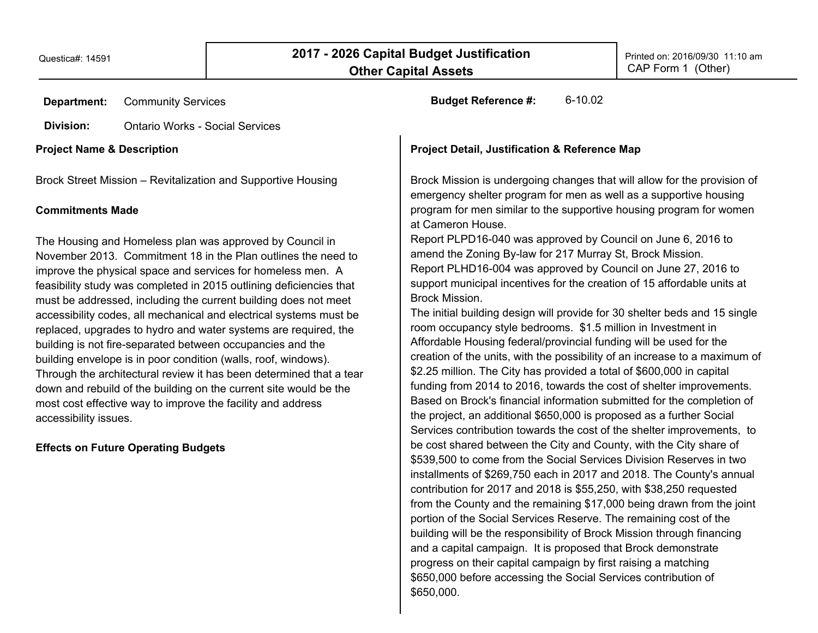| <b>Department:</b>                    | <b>Community Services</b>                                                                                                                                                                                                                                                                                                                                                                                                                                                                                                                                                                                                                                                                                                                                                                                                                                            | 6-10.02<br><b>Budget Reference #:</b>                                                                                                                                                                                                                                                                                                                                                                                                                                                                                                                                                                                                                                                                                                                                                                                                                                                                                                                                                                                                                                                                                                                                                                                                                                                                                                                                                                                                                                                       |
|---------------------------------------|----------------------------------------------------------------------------------------------------------------------------------------------------------------------------------------------------------------------------------------------------------------------------------------------------------------------------------------------------------------------------------------------------------------------------------------------------------------------------------------------------------------------------------------------------------------------------------------------------------------------------------------------------------------------------------------------------------------------------------------------------------------------------------------------------------------------------------------------------------------------|---------------------------------------------------------------------------------------------------------------------------------------------------------------------------------------------------------------------------------------------------------------------------------------------------------------------------------------------------------------------------------------------------------------------------------------------------------------------------------------------------------------------------------------------------------------------------------------------------------------------------------------------------------------------------------------------------------------------------------------------------------------------------------------------------------------------------------------------------------------------------------------------------------------------------------------------------------------------------------------------------------------------------------------------------------------------------------------------------------------------------------------------------------------------------------------------------------------------------------------------------------------------------------------------------------------------------------------------------------------------------------------------------------------------------------------------------------------------------------------------|
| Division:                             | <b>Ontario Works - Social Services</b>                                                                                                                                                                                                                                                                                                                                                                                                                                                                                                                                                                                                                                                                                                                                                                                                                               |                                                                                                                                                                                                                                                                                                                                                                                                                                                                                                                                                                                                                                                                                                                                                                                                                                                                                                                                                                                                                                                                                                                                                                                                                                                                                                                                                                                                                                                                                             |
| <b>Project Name &amp; Description</b> |                                                                                                                                                                                                                                                                                                                                                                                                                                                                                                                                                                                                                                                                                                                                                                                                                                                                      | <b>Project Detail, Justification &amp; Reference Map</b>                                                                                                                                                                                                                                                                                                                                                                                                                                                                                                                                                                                                                                                                                                                                                                                                                                                                                                                                                                                                                                                                                                                                                                                                                                                                                                                                                                                                                                    |
| <b>Commitments Made</b>               | Brock Street Mission - Revitalization and Supportive Housing                                                                                                                                                                                                                                                                                                                                                                                                                                                                                                                                                                                                                                                                                                                                                                                                         | Brock Mission is undergoing changes that will allow for the provision of<br>emergency shelter program for men as well as a supportive housing<br>program for men similar to the supportive housing program for women<br>at Cameron House.                                                                                                                                                                                                                                                                                                                                                                                                                                                                                                                                                                                                                                                                                                                                                                                                                                                                                                                                                                                                                                                                                                                                                                                                                                                   |
| accessibility issues.                 | The Housing and Homeless plan was approved by Council in<br>November 2013. Commitment 18 in the Plan outlines the need to<br>improve the physical space and services for homeless men. A<br>feasibility study was completed in 2015 outlining deficiencies that<br>must be addressed, including the current building does not meet<br>accessibility codes, all mechanical and electrical systems must be<br>replaced, upgrades to hydro and water systems are required, the<br>building is not fire-separated between occupancies and the<br>building envelope is in poor condition (walls, roof, windows).<br>Through the architectural review it has been determined that a tear<br>down and rebuild of the building on the current site would be the<br>most cost effective way to improve the facility and address<br><b>Effects on Future Operating Budgets</b> | Report PLPD16-040 was approved by Council on June 6, 2016 to<br>amend the Zoning By-law for 217 Murray St, Brock Mission.<br>Report PLHD16-004 was approved by Council on June 27, 2016 to<br>support municipal incentives for the creation of 15 affordable units at<br>Brock Mission.<br>The initial building design will provide for 30 shelter beds and 15 single<br>room occupancy style bedrooms. \$1.5 million in Investment in<br>Affordable Housing federal/provincial funding will be used for the<br>creation of the units, with the possibility of an increase to a maximum of<br>\$2.25 million. The City has provided a total of \$600,000 in capital<br>funding from 2014 to 2016, towards the cost of shelter improvements.<br>Based on Brock's financial information submitted for the completion of<br>the project, an additional \$650,000 is proposed as a further Social<br>Services contribution towards the cost of the shelter improvements, to<br>be cost shared between the City and County, with the City share of<br>\$539,500 to come from the Social Services Division Reserves in two<br>installments of \$269,750 each in 2017 and 2018. The County's annual<br>contribution for 2017 and 2018 is \$55,250, with \$38,250 requested<br>from the County and the remaining \$17,000 being drawn from the joint<br>portion of the Social Services Reserve. The remaining cost of the<br>building will be the responsibility of Brock Mission through financing |

\$650,000.

and a capital campaign. It is proposed that Brock demonstrate progress on their capital campaign by first raising a matching \$650,000 before accessing the Social Services contribution of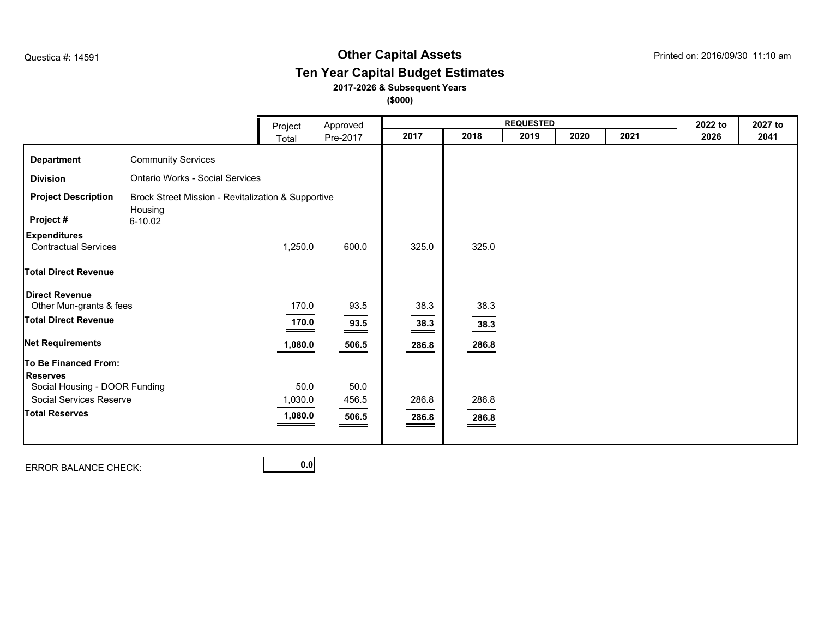### **Other Capital Assets** Questica #: 14591 Printed on: 2016/09/30 11:10 am **Ten Year Capital Budget Estimates**

#### **2017-2026 & Subsequent Years**

**(\$000)**

|                                                    |                                                               | Project      | Approved         |                   |                                                                                                                                                                                                                                                                                                                            | <b>REQUESTED</b> |      |      | 2022 to | 2027 to |
|----------------------------------------------------|---------------------------------------------------------------|--------------|------------------|-------------------|----------------------------------------------------------------------------------------------------------------------------------------------------------------------------------------------------------------------------------------------------------------------------------------------------------------------------|------------------|------|------|---------|---------|
|                                                    |                                                               | Total        | Pre-2017         | 2017              | 2018                                                                                                                                                                                                                                                                                                                       | 2019             | 2020 | 2021 | 2026    | 2041    |
| <b>Department</b>                                  | <b>Community Services</b>                                     |              |                  |                   |                                                                                                                                                                                                                                                                                                                            |                  |      |      |         |         |
| <b>Division</b>                                    | <b>Ontario Works - Social Services</b>                        |              |                  |                   |                                                                                                                                                                                                                                                                                                                            |                  |      |      |         |         |
| <b>Project Description</b>                         | Brock Street Mission - Revitalization & Supportive<br>Housing |              |                  |                   |                                                                                                                                                                                                                                                                                                                            |                  |      |      |         |         |
| Project #                                          | 6-10.02                                                       |              |                  |                   |                                                                                                                                                                                                                                                                                                                            |                  |      |      |         |         |
| <b>Expenditures</b><br><b>Contractual Services</b> |                                                               | 1,250.0      | 600.0            | 325.0             | 325.0                                                                                                                                                                                                                                                                                                                      |                  |      |      |         |         |
| <b>Total Direct Revenue</b>                        |                                                               |              |                  |                   |                                                                                                                                                                                                                                                                                                                            |                  |      |      |         |         |
| <b>Direct Revenue</b><br>Other Mun-grants & fees   |                                                               | 170.0        | 93.5             | 38.3              | 38.3                                                                                                                                                                                                                                                                                                                       |                  |      |      |         |         |
| <b>Total Direct Revenue</b>                        |                                                               | 170.0<br>___ | $\frac{93.5}{ }$ | $\frac{38.3}{ }$  | $\frac{38.3}{ }$                                                                                                                                                                                                                                                                                                           |                  |      |      |         |         |
| <b>Net Requirements</b>                            |                                                               | 1,080.0      | 506.5            | $\frac{286.8}{1}$ | $\frac{286.8}{256}$                                                                                                                                                                                                                                                                                                        |                  |      |      |         |         |
| <b>To Be Financed From:</b>                        |                                                               |              |                  |                   |                                                                                                                                                                                                                                                                                                                            |                  |      |      |         |         |
| <b>Reserves</b>                                    |                                                               |              |                  |                   |                                                                                                                                                                                                                                                                                                                            |                  |      |      |         |         |
| Social Housing - DOOR Funding                      |                                                               | 50.0         | 50.0             |                   |                                                                                                                                                                                                                                                                                                                            |                  |      |      |         |         |
| Social Services Reserve                            |                                                               | 1,030.0      | 456.5            | 286.8             | 286.8                                                                                                                                                                                                                                                                                                                      |                  |      |      |         |         |
| <b>Total Reserves</b>                              |                                                               | 1,080.0      | 506.5            | 286.8             | 286.8<br>$\hspace{0.05cm}$ $\hspace{0.05cm}$ $\hspace{0.05cm}$ $\hspace{0.05cm}$ $\hspace{0.05cm}$ $\hspace{0.05cm}$ $\hspace{0.05cm}$ $\hspace{0.05cm}$ $\hspace{0.05cm}$ $\hspace{0.05cm}$ $\hspace{0.05cm}$ $\hspace{0.05cm}$ $\hspace{0.05cm}$ $\hspace{0.05cm}$ $\hspace{0.05cm}$ $\hspace{0.05cm}$ $\hspace{0.05cm}$ |                  |      |      |         |         |
|                                                    |                                                               |              |                  |                   |                                                                                                                                                                                                                                                                                                                            |                  |      |      |         |         |

ERROR BALANCE CHECK: **0.0**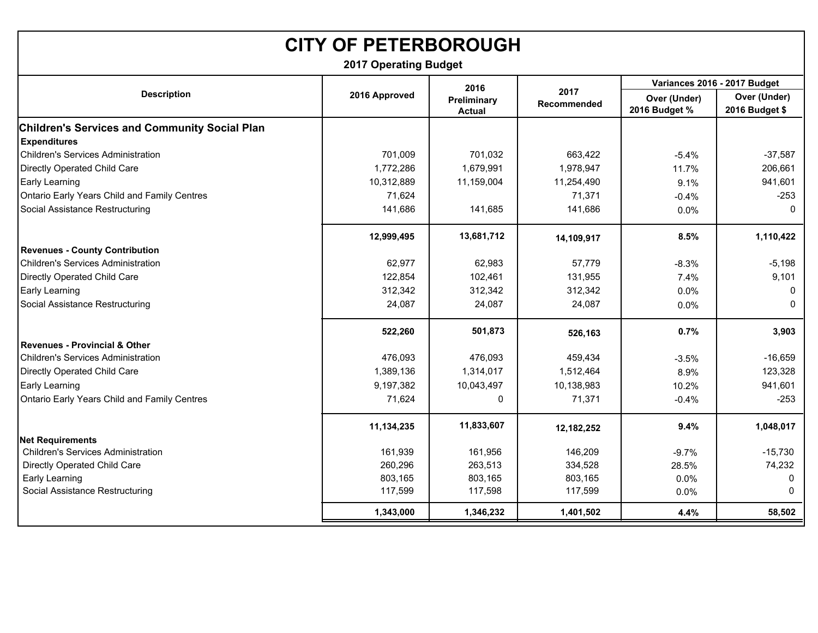| <b>CITY OF PETERBOROUGH</b>                                                 |                              |                              |                     |                               |                                |  |  |
|-----------------------------------------------------------------------------|------------------------------|------------------------------|---------------------|-------------------------------|--------------------------------|--|--|
|                                                                             | <b>2017 Operating Budget</b> |                              |                     |                               |                                |  |  |
|                                                                             |                              | 2016                         |                     |                               | Variances 2016 - 2017 Budget   |  |  |
| <b>Description</b>                                                          | 2016 Approved                | Preliminary<br><b>Actual</b> | 2017<br>Recommended | Over (Under)<br>2016 Budget % | Over (Under)<br>2016 Budget \$ |  |  |
| <b>Children's Services and Community Social Plan</b><br><b>Expenditures</b> |                              |                              |                     |                               |                                |  |  |
| <b>Children's Services Administration</b>                                   | 701,009                      | 701,032                      | 663,422             | $-5.4%$                       | $-37,587$                      |  |  |
| Directly Operated Child Care                                                | 1,772,286                    | 1,679,991                    | 1,978,947           | 11.7%                         | 206,661                        |  |  |
| Early Learning                                                              | 10,312,889                   | 11,159,004                   | 11,254,490          | 9.1%                          | 941,601                        |  |  |
| Ontario Early Years Child and Family Centres                                | 71,624                       |                              | 71,371              | $-0.4%$                       | $-253$                         |  |  |
| Social Assistance Restructuring                                             | 141,686                      | 141,685                      | 141,686             | 0.0%                          | $\Omega$                       |  |  |
|                                                                             | 12,999,495                   | 13,681,712                   | 14,109,917          | 8.5%                          | 1,110,422                      |  |  |
| <b>Revenues - County Contribution</b>                                       |                              |                              |                     |                               |                                |  |  |
| <b>Children's Services Administration</b>                                   | 62,977                       | 62,983                       | 57,779              | $-8.3%$                       | $-5,198$                       |  |  |
| Directly Operated Child Care                                                | 122,854                      | 102,461                      | 131,955             | 7.4%                          | 9,101                          |  |  |
| Early Learning                                                              | 312,342                      | 312,342                      | 312,342             | $0.0\%$                       | 0                              |  |  |
| Social Assistance Restructuring                                             | 24,087                       | 24,087                       | 24,087              | 0.0%                          | $\mathbf{0}$                   |  |  |
|                                                                             | 522,260                      | 501,873                      | 526,163             | 0.7%                          | 3,903                          |  |  |
| <b>Revenues - Provincial &amp; Other</b>                                    |                              |                              |                     |                               |                                |  |  |
| <b>Children's Services Administration</b>                                   | 476,093                      | 476,093                      | 459,434             | $-3.5%$                       | $-16,659$                      |  |  |
| Directly Operated Child Care                                                | 1,389,136                    | 1,314,017                    | 1,512,464           | 8.9%                          | 123,328                        |  |  |
| Early Learning                                                              | 9,197,382                    | 10,043,497                   | 10,138,983          | 10.2%                         | 941,601                        |  |  |
| Ontario Early Years Child and Family Centres                                | 71,624                       | $\Omega$                     | 71,371              | $-0.4%$                       | $-253$                         |  |  |
|                                                                             | 11,134,235                   | 11,833,607                   | 12,182,252          | 9.4%                          | 1,048,017                      |  |  |
| <b>Net Requirements</b>                                                     |                              |                              |                     |                               |                                |  |  |
| <b>Children's Services Administration</b>                                   | 161,939                      | 161,956                      | 146,209             | $-9.7%$                       | $-15,730$                      |  |  |
| Directly Operated Child Care                                                | 260,296                      | 263,513                      | 334,528             | 28.5%                         | 74,232                         |  |  |
| Early Learning                                                              | 803,165                      | 803,165                      | 803,165             | 0.0%                          | 0                              |  |  |
| Social Assistance Restructuring                                             | 117,599                      | 117,598                      | 117,599             | 0.0%                          | $\Omega$                       |  |  |
|                                                                             | 1,343,000                    | 1,346,232                    | 1,401,502           | 4.4%                          | 58,502                         |  |  |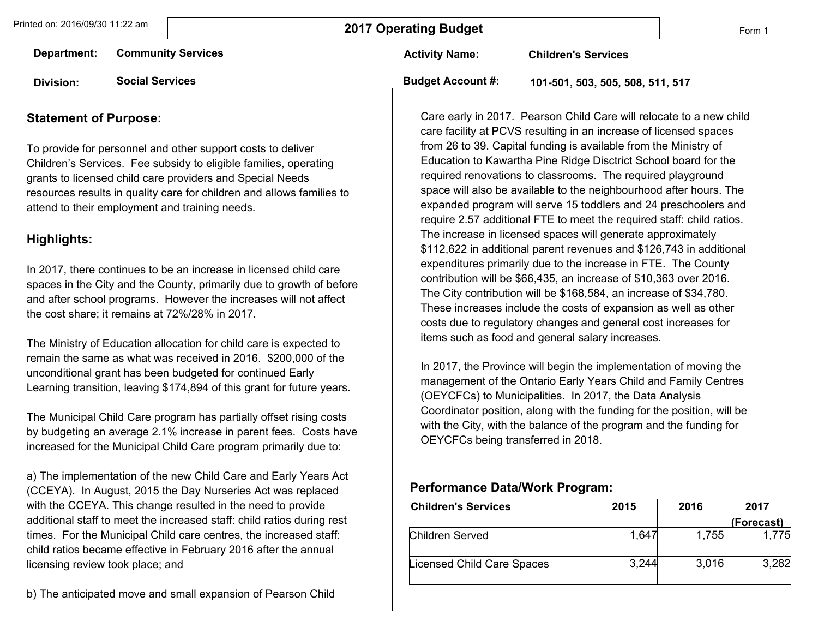Form 1

| Department:      | <b>Community Services</b> | <b>Activity Name:</b>    | <b>Children's Services</b>       |
|------------------|---------------------------|--------------------------|----------------------------------|
| <b>Division:</b> | <b>Social Services</b>    | <b>Budget Account #:</b> | 101-501, 503, 505, 508, 511, 517 |

#### **Statement of Purpose:**

To provide for personnel and other support costs to deliver Children's Services. Fee subsidy to eligible families, operating grants to licensed child care providers and Special Needs resources results in quality care for children and allows families to attend to their employment and training needs.

#### **Highlights:**

In 2017, there continues to be an increase in licensed child care spaces in the City and the County, primarily due to growth of before and after school programs. However the increases will not affect the cost share; it remains at 72%/28% in 2017.

The Ministry of Education allocation for child care is expected to remain the same as what was received in 2016. \$200,000 of the unconditional grant has been budgeted for continued Early Learning transition, leaving \$174,894 of this grant for future years.

The Municipal Child Care program has partially offset rising costs by budgeting an average 2.1% increase in parent fees. Costs have increased for the Municipal Child Care program primarily due to:

a) The implementation of the new Child Care and Early Years Act (CCEYA). In August, 2015 the Day Nurseries Act was replaced with the CCEYA. This change resulted in the need to provide additional staff to meet the increased staff: child ratios during rest times. For the Municipal Child care centres, the increased staff: child ratios became effective in February 2016 after the annual licensing review took place; and

Care early in 2017. Pearson Child Care will relocate to a new child care facility at PCVS resulting in an increase of licensed spaces from 26 to 39. Capital funding is available from the Ministry of Education to Kawartha Pine Ridge Disctrict School board for the required renovations to classrooms. The required playground space will also be available to the neighbourhood after hours. The expanded program will serve 15 toddlers and 24 preschoolers and require 2.57 additional FTE to meet the required staff: child ratios. The increase in licensed spaces will generate approximately \$112,622 in additional parent revenues and \$126,743 in additional expenditures primarily due to the increase in FTE. The County contribution will be \$66,435, an increase of \$10,363 over 2016. The City contribution will be \$168,584, an increase of \$34,780. These increases include the costs of expansion as well as other costs due to regulatory changes and general cost increases for items such as food and general salary increases.

In 2017, the Province will begin the implementation of moving the management of the Ontario Early Years Child and Family Centres (OEYCFCs) to Municipalities. In 2017, the Data Analysis Coordinator position, along with the funding for the position, will be with the City, with the balance of the program and the funding for OEYCFCs being transferred in 2018.

#### **Performance Data/Work Program:**

| <b>Children's Services</b> | 2015  | 2016  | 2017       |
|----------------------------|-------|-------|------------|
|                            |       |       | (Forecast) |
| Children Served            | 1,647 | 1,755 | 1.775      |
| Licensed Child Care Spaces | 3,244 | 3,016 | 3,282      |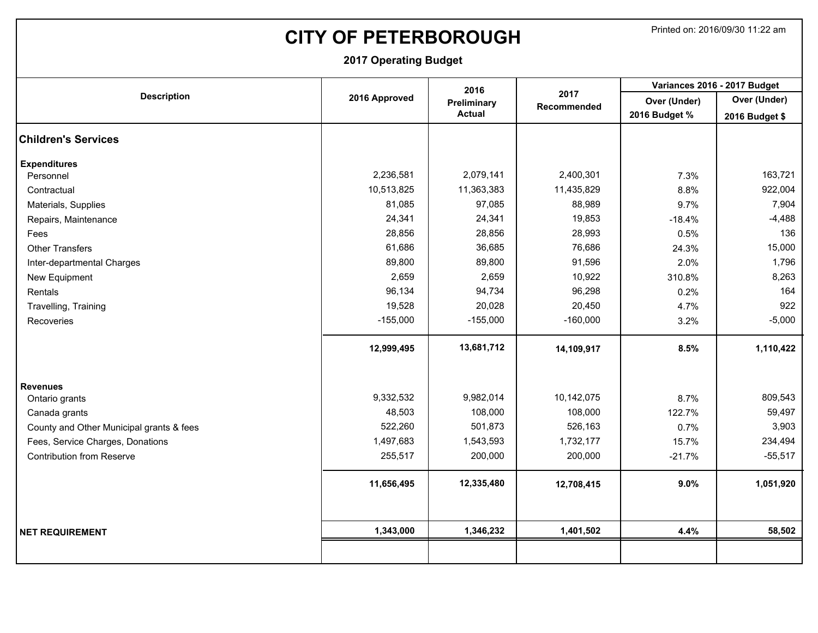# **CITY OF PETERBOROUGH** Printed on: 2016/09/30 11:22 am

|                                          |               | 2016          |             | Variances 2016 - 2017 Budget |                |  |
|------------------------------------------|---------------|---------------|-------------|------------------------------|----------------|--|
| <b>Description</b>                       | 2016 Approved | Preliminary   | 2017        | Over (Under)                 | Over (Under)   |  |
|                                          |               | <b>Actual</b> | Recommended | 2016 Budget %                | 2016 Budget \$ |  |
| <b>Children's Services</b>               |               |               |             |                              |                |  |
| <b>Expenditures</b>                      |               |               |             |                              |                |  |
| Personnel                                | 2,236,581     | 2,079,141     | 2,400,301   | 7.3%                         | 163,721        |  |
| Contractual                              | 10,513,825    | 11,363,383    | 11,435,829  | 8.8%                         | 922,004        |  |
| Materials, Supplies                      | 81,085        | 97,085        | 88,989      | 9.7%                         | 7,904          |  |
| Repairs, Maintenance                     | 24,341        | 24,341        | 19,853      | $-18.4%$                     | $-4,488$       |  |
| Fees                                     | 28,856        | 28,856        | 28,993      | 0.5%                         | 136            |  |
| <b>Other Transfers</b>                   | 61,686        | 36,685        | 76,686      | 24.3%                        | 15,000         |  |
| Inter-departmental Charges               | 89,800        | 89,800        | 91,596      | 2.0%                         | 1,796          |  |
| New Equipment                            | 2,659         | 2,659         | 10,922      | 310.8%                       | 8,263          |  |
| Rentals                                  | 96,134        | 94,734        | 96,298      | 0.2%                         | 164            |  |
| Travelling, Training                     | 19,528        | 20,028        | 20,450      | 4.7%                         | 922            |  |
| Recoveries                               | $-155,000$    | $-155,000$    | $-160,000$  | 3.2%                         | $-5,000$       |  |
|                                          | 12,999,495    | 13,681,712    | 14,109,917  | 8.5%                         | 1,110,422      |  |
| <b>Revenues</b>                          |               |               |             |                              |                |  |
| Ontario grants                           | 9,332,532     | 9,982,014     | 10,142,075  | 8.7%                         | 809,543        |  |
| Canada grants                            | 48,503        | 108,000       | 108,000     | 122.7%                       | 59,497         |  |
| County and Other Municipal grants & fees | 522,260       | 501,873       | 526,163     | 0.7%                         | 3,903          |  |
| Fees, Service Charges, Donations         | 1,497,683     | 1,543,593     | 1,732,177   | 15.7%                        | 234,494        |  |
| <b>Contribution from Reserve</b>         | 255,517       | 200,000       | 200,000     | $-21.7%$                     | $-55,517$      |  |
|                                          | 11,656,495    | 12,335,480    | 12,708,415  | 9.0%                         | 1,051,920      |  |
|                                          |               |               |             |                              |                |  |
| <b>NET REQUIREMENT</b>                   | 1,343,000     | 1,346,232     | 1,401,502   | 4.4%                         | 58,502         |  |
|                                          |               |               |             |                              |                |  |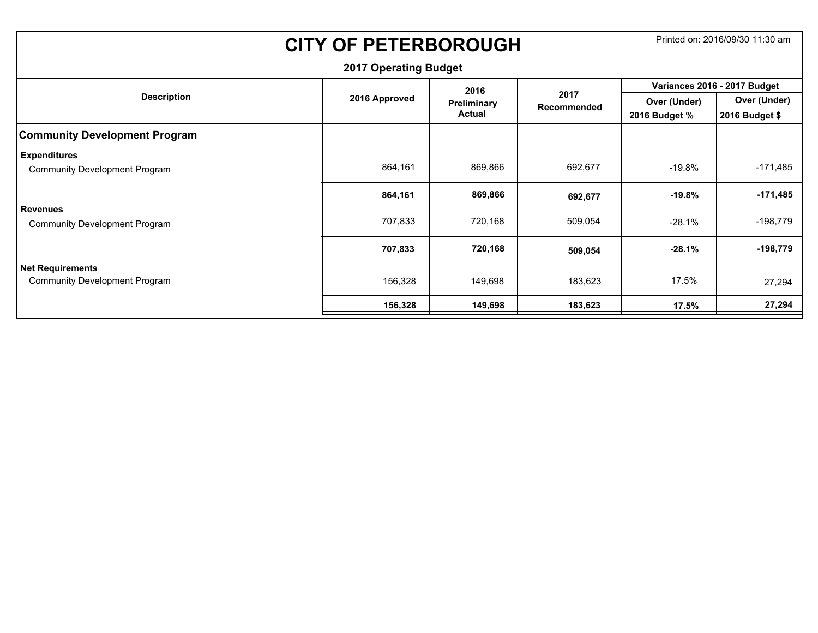| <b>CITY OF PETERBOROUGH</b>          |               | Printed on: 2016/09/30 11:30 am |             |               |                              |  |  |  |  |
|--------------------------------------|---------------|---------------------------------|-------------|---------------|------------------------------|--|--|--|--|
| <b>2017 Operating Budget</b>         |               |                                 |             |               |                              |  |  |  |  |
|                                      |               | 2016                            | 2017        |               | Variances 2016 - 2017 Budget |  |  |  |  |
| <b>Description</b>                   | 2016 Approved | Preliminary                     | Recommended | Over (Under)  | Over (Under)                 |  |  |  |  |
|                                      |               | <b>Actual</b>                   |             | 2016 Budget % | 2016 Budget \$               |  |  |  |  |
| <b>Community Development Program</b> |               |                                 |             |               |                              |  |  |  |  |
| <b>Expenditures</b>                  |               |                                 |             |               |                              |  |  |  |  |
| <b>Community Development Program</b> | 864,161       | 869,866                         | 692,677     | $-19.8%$      | $-171,485$                   |  |  |  |  |
|                                      | 864,161       | 869,866                         | 692,677     | $-19.8\%$     | $-171,485$                   |  |  |  |  |
| <b>Revenues</b>                      |               |                                 |             |               |                              |  |  |  |  |
| <b>Community Development Program</b> | 707,833       | 720,168                         | 509,054     | $-28.1%$      | $-198,779$                   |  |  |  |  |
|                                      | 707,833       | 720,168                         | 509,054     | $-28.1%$      | $-198,779$                   |  |  |  |  |
| <b>Net Requirements</b>              |               |                                 |             |               |                              |  |  |  |  |
| <b>Community Development Program</b> | 156,328       | 149,698                         | 183,623     | 17.5%         | 27,294                       |  |  |  |  |
|                                      | 156,328       | 149,698                         | 183,623     | 17.5%         | 27,294                       |  |  |  |  |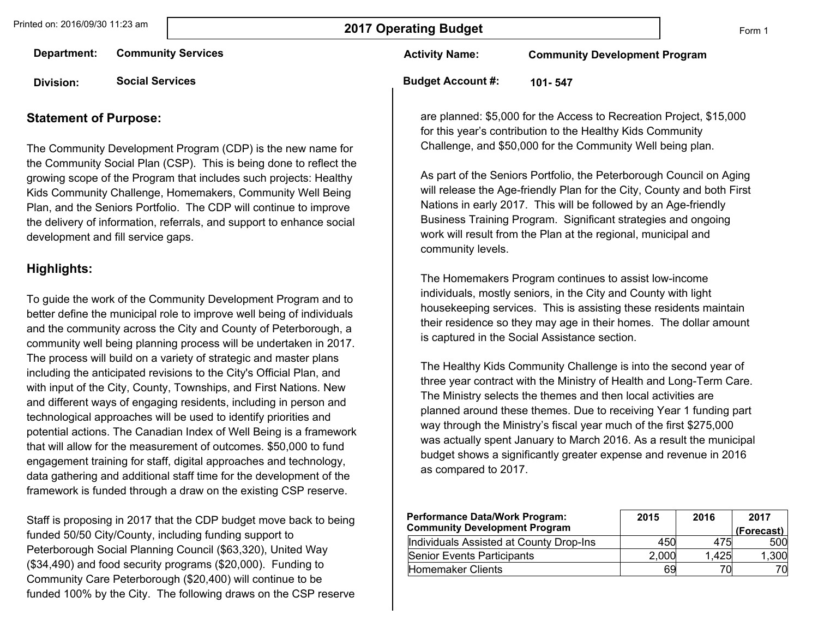Form 1

**Department: Community Services**

**Division: Social Services**

#### **Statement of Purpose:**

The Community Development Program (CDP) is the new name for the Community Social Plan (CSP). This is being done to reflect the growing scope of the Program that includes such projects: Healthy Kids Community Challenge, Homemakers, Community Well Being Plan, and the Seniors Portfolio. The CDP will continue to improve the delivery of information, referrals, and support to enhance social development and fill service gaps.

#### **Highlights:**

To guide the work of the Community Development Program and to better define the municipal role to improve well being of individuals and the community across the City and County of Peterborough, a community well being planning process will be undertaken in 2017. The process will build on a variety of strategic and master plans including the anticipated revisions to the City's Official Plan, and with input of the City, County, Townships, and First Nations. New and different ways of engaging residents, including in person and technological approaches will be used to identify priorities and potential actions. The Canadian Index of Well Being is a framework that will allow for the measurement of outcomes. \$50,000 to fund engagement training for staff, digital approaches and technology, data gathering and additional staff time for the development of the framework is funded through a draw on the existing CSP reserve.

Staff is proposing in 2017 that the CDP budget move back to being funded 50/50 City/County, including funding support to Peterborough Social Planning Council (\$63,320), United Way (\$34,490) and food security programs (\$20,000). Funding to Community Care Peterborough (\$20,400) will continue to be funded 100% by the City. The following draws on the CSP reserve **Activity Name: Community Development Program**

**Budget Account #: 101- 547**

are planned: \$5,000 for the Access to Recreation Project, \$15,000 for this year's contribution to the Healthy Kids Community Challenge, and \$50,000 for the Community Well being plan.

As part of the Seniors Portfolio, the Peterborough Council on Aging will release the Age-friendly Plan for the City, County and both First Nations in early 2017. This will be followed by an Age-friendly Business Training Program. Significant strategies and ongoing work will result from the Plan at the regional, municipal and community levels.

The Homemakers Program continues to assist low-income individuals, mostly seniors, in the City and County with light housekeeping services. This is assisting these residents maintain their residence so they may age in their homes. The dollar amount is captured in the Social Assistance section.

The Healthy Kids Community Challenge is into the second year of three year contract with the Ministry of Health and Long-Term Care. The Ministry selects the themes and then local activities are planned around these themes. Due to receiving Year 1 funding part way through the Ministry's fiscal year much of the first \$275,000 was actually spent January to March 2016. As a result the municipal budget shows a significantly greater expense and revenue in 2016 as compared to 2017.

| <b>Performance Data/Work Program:</b><br><b>Community Development Program</b> | 2015  | 2016  | 2017<br>(Forecast) |
|-------------------------------------------------------------------------------|-------|-------|--------------------|
| Individuals Assisted at County Drop-Ins                                       | 450   | 475   | 500                |
| Senior Events Participants                                                    | 2,000 | 1.425 | 1,300              |
| Homemaker Clients                                                             | 69    |       | 70                 |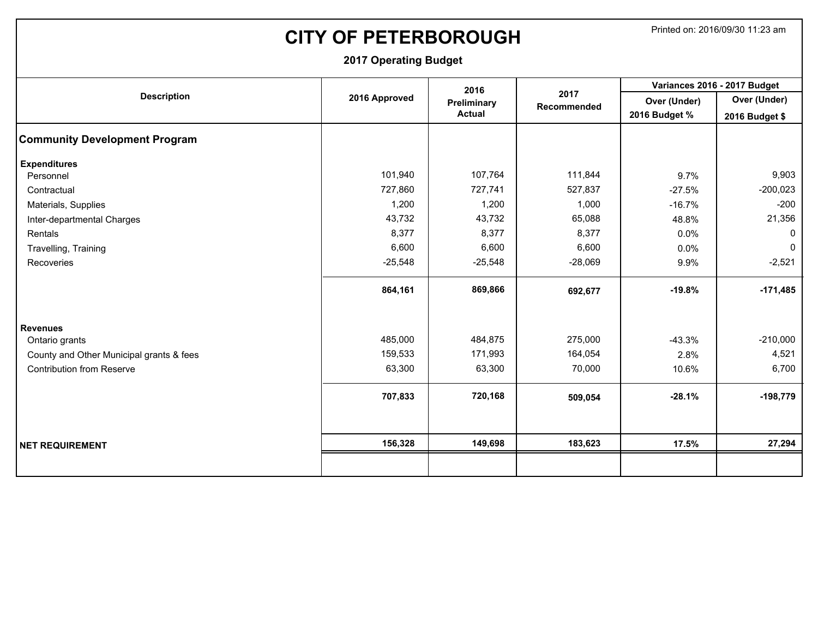# **CITY OF PETERBOROUGH** Printed on: 2016/09/30 11:23 am

| <b>Description</b><br><b>Community Development Program</b><br><b>Expenditures</b><br>Personnel<br>Contractual<br>Materials, Supplies<br>Inter-departmental Charges<br>Rentals |               | 2016          |                     | Variances 2016 - 2017 Budget |                |  |
|-------------------------------------------------------------------------------------------------------------------------------------------------------------------------------|---------------|---------------|---------------------|------------------------------|----------------|--|
|                                                                                                                                                                               | 2016 Approved | Preliminary   | 2017<br>Recommended | Over (Under)                 | Over (Under)   |  |
|                                                                                                                                                                               |               | <b>Actual</b> |                     | 2016 Budget %                | 2016 Budget \$ |  |
|                                                                                                                                                                               |               |               |                     |                              |                |  |
|                                                                                                                                                                               |               |               |                     |                              |                |  |
|                                                                                                                                                                               | 101,940       | 107,764       | 111,844             | 9.7%                         | 9,903          |  |
|                                                                                                                                                                               | 727,860       | 727,741       | 527,837             | $-27.5%$                     | $-200,023$     |  |
|                                                                                                                                                                               | 1,200         | 1,200         | 1,000               | $-16.7%$                     | $-200$         |  |
|                                                                                                                                                                               | 43,732        | 43,732        | 65,088              | 48.8%                        | 21,356         |  |
|                                                                                                                                                                               | 8,377         | 8,377         | 8,377               | 0.0%                         | $\mathbf{0}$   |  |
| Travelling, Training                                                                                                                                                          | 6,600         | 6,600         | 6,600               | 0.0%                         | $\mathbf 0$    |  |
| Recoveries                                                                                                                                                                    | $-25,548$     | $-25,548$     | $-28,069$           | 9.9%                         | $-2,521$       |  |
|                                                                                                                                                                               | 864,161       | 869,866       | 692,677             | $-19.8%$                     | $-171,485$     |  |
| <b>Revenues</b>                                                                                                                                                               |               |               |                     |                              |                |  |
| Ontario grants                                                                                                                                                                | 485,000       | 484,875       | 275,000             | $-43.3%$                     | $-210,000$     |  |
| County and Other Municipal grants & fees                                                                                                                                      | 159,533       | 171,993       | 164,054             | 2.8%                         | 4,521          |  |
| <b>Contribution from Reserve</b>                                                                                                                                              | 63,300        | 63,300        | 70,000              | 10.6%                        | 6,700          |  |
|                                                                                                                                                                               | 707,833       | 720,168       | 509,054             | $-28.1%$                     | $-198,779$     |  |
|                                                                                                                                                                               | 156,328       | 149,698       | 183,623             | 17.5%                        | 27,294         |  |
| <b>NET REQUIREMENT</b>                                                                                                                                                        |               |               |                     |                              |                |  |
|                                                                                                                                                                               |               |               |                     |                              |                |  |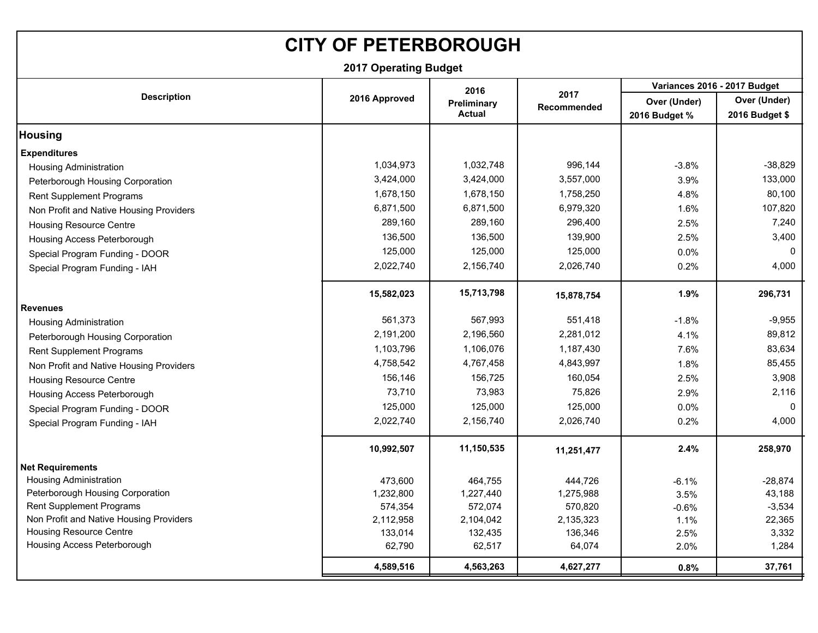# **CITY OF PETERBOROUGH**

|                                         |               | 2016          |                            |               | Variances 2016 - 2017 Budget |
|-----------------------------------------|---------------|---------------|----------------------------|---------------|------------------------------|
| <b>Description</b>                      | 2016 Approved | Preliminary   | 2017<br><b>Recommended</b> | Over (Under)  | Over (Under)                 |
|                                         |               | <b>Actual</b> |                            | 2016 Budget % | 2016 Budget \$               |
| <b>Housing</b>                          |               |               |                            |               |                              |
| <b>Expenditures</b>                     |               |               |                            |               |                              |
| <b>Housing Administration</b>           | 1,034,973     | 1,032,748     | 996,144                    | $-3.8%$       | $-38,829$                    |
| Peterborough Housing Corporation        | 3,424,000     | 3,424,000     | 3,557,000                  | 3.9%          | 133,000                      |
| Rent Supplement Programs                | 1,678,150     | 1,678,150     | 1,758,250                  | 4.8%          | 80,100                       |
| Non Profit and Native Housing Providers | 6,871,500     | 6,871,500     | 6,979,320                  | 1.6%          | 107,820                      |
| <b>Housing Resource Centre</b>          | 289,160       | 289,160       | 296,400                    | 2.5%          | 7,240                        |
| Housing Access Peterborough             | 136,500       | 136,500       | 139,900                    | 2.5%          | 3,400                        |
| Special Program Funding - DOOR          | 125,000       | 125,000       | 125,000                    | 0.0%          | $\mathbf 0$                  |
| Special Program Funding - IAH           | 2,022,740     | 2,156,740     | 2,026,740                  | 0.2%          | 4,000                        |
|                                         | 15,582,023    | 15,713,798    | 15,878,754                 | 1.9%          | 296,731                      |
| <b>Revenues</b>                         |               |               |                            |               |                              |
| <b>Housing Administration</b>           | 561,373       | 567,993       | 551,418                    | $-1.8%$       | $-9,955$                     |
| Peterborough Housing Corporation        | 2,191,200     | 2,196,560     | 2,281,012                  | 4.1%          | 89,812                       |
| Rent Supplement Programs                | 1,103,796     | 1,106,076     | 1,187,430                  | 7.6%          | 83,634                       |
| Non Profit and Native Housing Providers | 4,758,542     | 4,767,458     | 4,843,997                  | 1.8%          | 85,455                       |
| <b>Housing Resource Centre</b>          | 156,146       | 156,725       | 160,054                    | 2.5%          | 3,908                        |
| Housing Access Peterborough             | 73,710        | 73,983        | 75,826                     | 2.9%          | 2,116                        |
| Special Program Funding - DOOR          | 125,000       | 125,000       | 125,000                    | 0.0%          | $\Omega$                     |
| Special Program Funding - IAH           | 2,022,740     | 2,156,740     | 2,026,740                  | 0.2%          | 4,000                        |
|                                         | 10,992,507    | 11,150,535    | 11,251,477                 | 2.4%          | 258,970                      |
| <b>Net Requirements</b>                 |               |               |                            |               |                              |
| <b>Housing Administration</b>           | 473,600       | 464,755       | 444,726                    | $-6.1%$       | $-28,874$                    |
| Peterborough Housing Corporation        | 1,232,800     | 1,227,440     | 1,275,988                  | 3.5%          | 43,188                       |
| <b>Rent Supplement Programs</b>         | 574,354       | 572,074       | 570,820                    | $-0.6%$       | $-3,534$                     |
| Non Profit and Native Housing Providers | 2,112,958     | 2,104,042     | 2,135,323                  | 1.1%          | 22,365                       |
| <b>Housing Resource Centre</b>          | 133,014       | 132,435       | 136,346                    | 2.5%          | 3,332                        |
| Housing Access Peterborough             | 62,790        | 62,517        | 64,074                     | 2.0%          | 1,284                        |
|                                         | 4,589,516     | 4,563,263     | 4,627,277                  | 0.8%          | 37,761                       |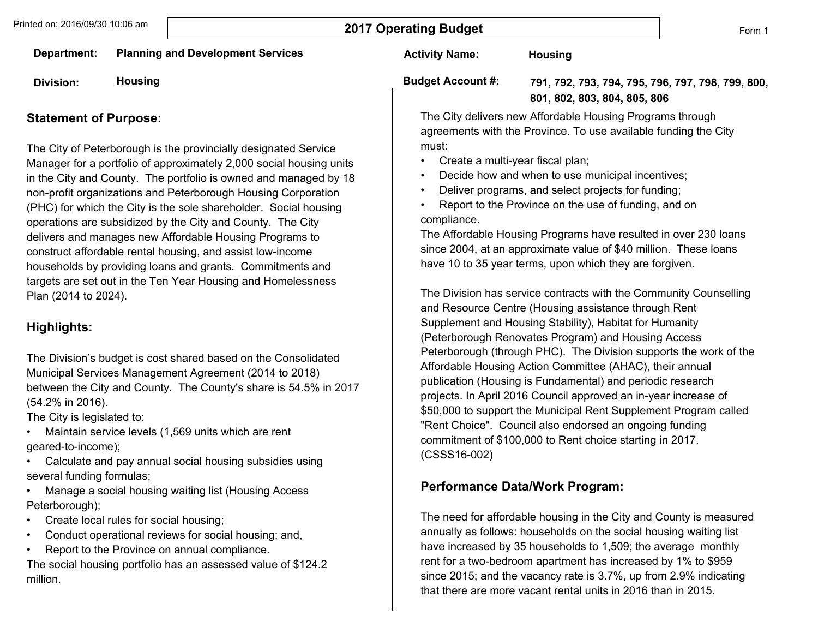**Activity Name:** 

**Budget Account #:** 

**Department: Planning and Development Services**

**Division: Housing**

#### **Statement of Purpose:**

The City of Peterborough is the provincially designated Service Manager for a portfolio of approximately 2,000 social housing units in the City and County. The portfolio is owned and managed by 18 non-profit organizations and Peterborough Housing Corporation (PHC) for which the City is the sole shareholder. Social housing operations are subsidized by the City and County. The City delivers and manages new Affordable Housing Programs to construct affordable rental housing, and assist low-income households by providing loans and grants. Commitments and targets are set out in the Ten Year Housing and Homelessness Plan (2014 to 2024).

### **Highlights:**

The Division's budget is cost shared based on the Consolidated Municipal Services Management Agreement (2014 to 2018) between the City and County. The County's share is 54.5% in 2017 (54.2% in 2016).

The City is legislated to:

- Maintain service levels (1,569 units which are rent geared-to-income);
- Calculate and pay annual social housing subsidies using several funding formulas;
- Manage a social housing waiting list (Housing Access Peterborough);
- Create local rules for social housing;
- Conduct operational reviews for social housing; and,
- Report to the Province on annual compliance.

The social housing portfolio has an assessed value of \$124.2 million.

**791, 792, 793, 794, 795, 796, 797, 798, 799, 800, 801, 802, 803, 804, 805, 806** The City delivers new Affordable Housing Programs through

agreements with the Province. To use available funding the City must:

- Create a multi-year fiscal plan;
- Decide how and when to use municipal incentives;

**Housing**

- Deliver programs, and select projects for funding;
- Report to the Province on the use of funding, and on compliance.

The Affordable Housing Programs have resulted in over 230 loans since 2004, at an approximate value of \$40 million. These loans have 10 to 35 year terms, upon which they are forgiven.

The Division has service contracts with the Community Counselling and Resource Centre (Housing assistance through Rent Supplement and Housing Stability), Habitat for Humanity (Peterborough Renovates Program) and Housing Access Peterborough (through PHC). The Division supports the work of the Affordable Housing Action Committee (AHAC), their annual publication (Housing is Fundamental) and periodic research projects. In April 2016 Council approved an in-year increase of \$50,000 to support the Municipal Rent Supplement Program called "Rent Choice". Council also endorsed an ongoing funding commitment of \$100,000 to Rent choice starting in 2017. (CSSS16-002)

### **Performance Data/Work Program:**

The need for affordable housing in the City and County is measured annually as follows: households on the social housing waiting list have increased by 35 households to 1,509; the average monthly rent for a two-bedroom apartment has increased by 1% to \$959 since 2015; and the vacancy rate is 3.7%, up from 2.9% indicating that there are more vacant rental units in 2016 than in 2015.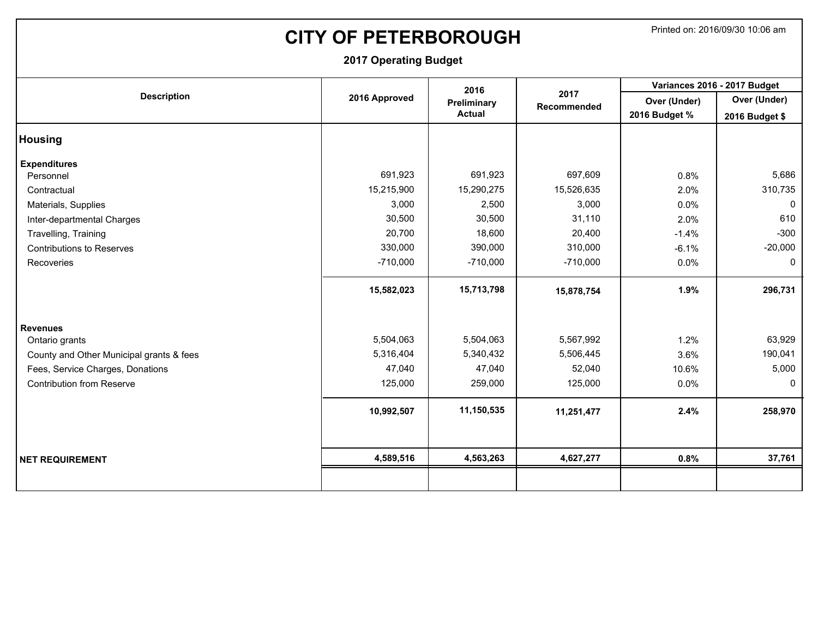# **CITY OF PETERBOROUGH** Printed on: 2016/09/30 10:06 am

|                                          |               | 2016          |                            |               | Variances 2016 - 2017 Budget |
|------------------------------------------|---------------|---------------|----------------------------|---------------|------------------------------|
| <b>Description</b>                       | 2016 Approved | Preliminary   | 2017<br><b>Recommended</b> | Over (Under)  | Over (Under)                 |
|                                          |               | <b>Actual</b> |                            | 2016 Budget % | 2016 Budget \$               |
| <b>Housing</b>                           |               |               |                            |               |                              |
| <b>Expenditures</b>                      |               |               |                            |               |                              |
| Personnel                                | 691,923       | 691,923       | 697,609                    | 0.8%          | 5,686                        |
| Contractual                              | 15,215,900    | 15,290,275    | 15,526,635                 | 2.0%          | 310,735                      |
| Materials, Supplies                      | 3,000         | 2,500         | 3,000                      | 0.0%          | $\mathbf{0}$                 |
| Inter-departmental Charges               | 30,500        | 30,500        | 31,110                     | 2.0%          | 610                          |
| Travelling, Training                     | 20,700        | 18,600        | 20,400                     | $-1.4%$       | $-300$                       |
| <b>Contributions to Reserves</b>         | 330,000       | 390,000       | 310,000                    | $-6.1%$       | $-20,000$                    |
| Recoveries                               | $-710,000$    | $-710,000$    | $-710,000$                 | 0.0%          | $\mathbf 0$                  |
|                                          | 15,582,023    | 15,713,798    | 15,878,754                 | 1.9%          | 296,731                      |
| <b>Revenues</b>                          |               |               |                            |               |                              |
| Ontario grants                           | 5,504,063     | 5,504,063     | 5,567,992                  | 1.2%          | 63,929                       |
| County and Other Municipal grants & fees | 5,316,404     | 5,340,432     | 5,506,445                  | 3.6%          | 190,041                      |
| Fees, Service Charges, Donations         | 47,040        | 47,040        | 52,040                     | 10.6%         | 5,000                        |
| <b>Contribution from Reserve</b>         | 125,000       | 259,000       | 125,000                    | 0.0%          | $\mathbf{0}$                 |
|                                          | 10,992,507    | 11,150,535    | 11,251,477                 | 2.4%          | 258,970                      |
| <b>NET REQUIREMENT</b>                   | 4,589,516     | 4,563,263     | 4,627,277                  | 0.8%          | 37,761                       |
|                                          |               |               |                            |               |                              |
|                                          |               |               |                            |               |                              |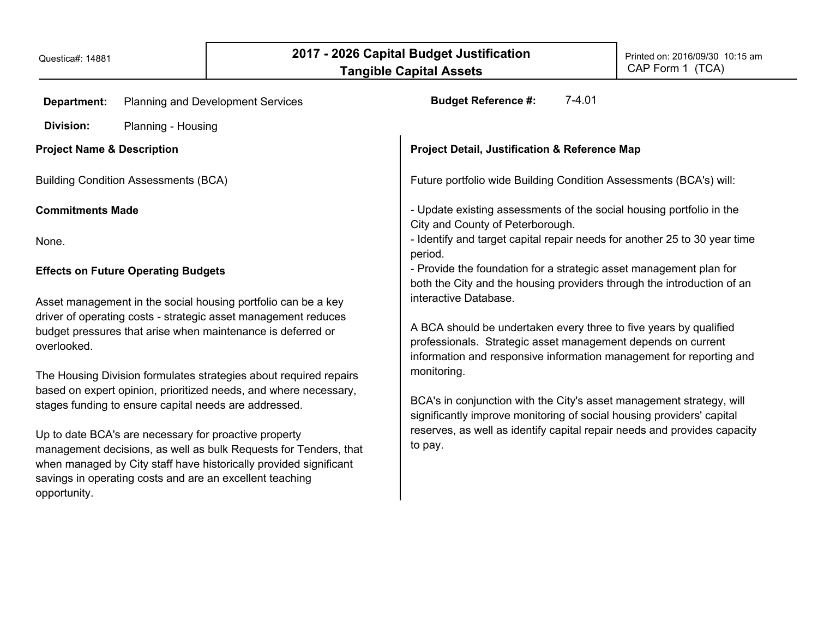| <b>Department:</b><br><b>Planning and Development Services</b>                                                                                                                                                                                                                                                                                                                                                                                                                                                                                                                                                                                                                                | $7-4.01$<br><b>Budget Reference #:</b>                                                                                                                                                                                                                                                                                                                                                                                                                                                   |
|-----------------------------------------------------------------------------------------------------------------------------------------------------------------------------------------------------------------------------------------------------------------------------------------------------------------------------------------------------------------------------------------------------------------------------------------------------------------------------------------------------------------------------------------------------------------------------------------------------------------------------------------------------------------------------------------------|------------------------------------------------------------------------------------------------------------------------------------------------------------------------------------------------------------------------------------------------------------------------------------------------------------------------------------------------------------------------------------------------------------------------------------------------------------------------------------------|
| <b>Division:</b><br>Planning - Housing                                                                                                                                                                                                                                                                                                                                                                                                                                                                                                                                                                                                                                                        |                                                                                                                                                                                                                                                                                                                                                                                                                                                                                          |
| <b>Project Name &amp; Description</b>                                                                                                                                                                                                                                                                                                                                                                                                                                                                                                                                                                                                                                                         | <b>Project Detail, Justification &amp; Reference Map</b>                                                                                                                                                                                                                                                                                                                                                                                                                                 |
| <b>Building Condition Assessments (BCA)</b>                                                                                                                                                                                                                                                                                                                                                                                                                                                                                                                                                                                                                                                   | Future portfolio wide Building Condition Assessments (BCA's) will:                                                                                                                                                                                                                                                                                                                                                                                                                       |
| <b>Commitments Made</b>                                                                                                                                                                                                                                                                                                                                                                                                                                                                                                                                                                                                                                                                       | - Update existing assessments of the social housing portfolio in the<br>City and County of Peterborough.                                                                                                                                                                                                                                                                                                                                                                                 |
| None.                                                                                                                                                                                                                                                                                                                                                                                                                                                                                                                                                                                                                                                                                         | - Identify and target capital repair needs for another 25 to 30 year time<br>period.                                                                                                                                                                                                                                                                                                                                                                                                     |
| <b>Effects on Future Operating Budgets</b>                                                                                                                                                                                                                                                                                                                                                                                                                                                                                                                                                                                                                                                    | - Provide the foundation for a strategic asset management plan for<br>both the City and the housing providers through the introduction of an                                                                                                                                                                                                                                                                                                                                             |
| Asset management in the social housing portfolio can be a key<br>driver of operating costs - strategic asset management reduces<br>budget pressures that arise when maintenance is deferred or<br>overlooked.<br>The Housing Division formulates strategies about required repairs<br>based on expert opinion, prioritized needs, and where necessary,<br>stages funding to ensure capital needs are addressed.<br>Up to date BCA's are necessary for proactive property<br>management decisions, as well as bulk Requests for Tenders, that<br>when managed by City staff have historically provided significant<br>savings in operating costs and are an excellent teaching<br>opportunity. | interactive Database.<br>A BCA should be undertaken every three to five years by qualified<br>professionals. Strategic asset management depends on current<br>information and responsive information management for reporting and<br>monitoring.<br>BCA's in conjunction with the City's asset management strategy, will<br>significantly improve monitoring of social housing providers' capital<br>reserves, as well as identify capital repair needs and provides capacity<br>to pay. |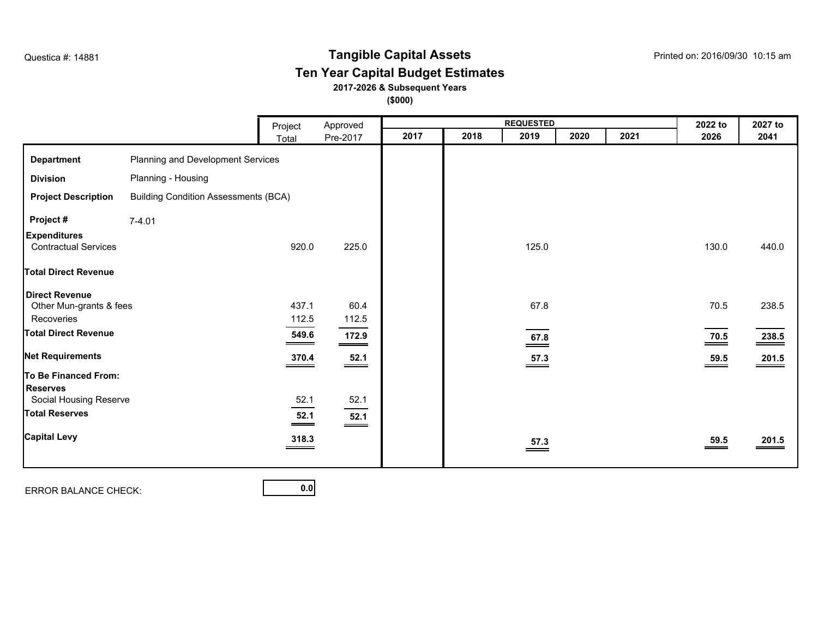# **Tangible Capital Assets** Questica #: 14881 Printed on: 2016/09/30 10:15 am

## **Ten Year Capital Budget Estimates**

**2017-2026 & Subsequent Years**

**(\$000)**

|                                                                                               |                                             | Project                                                                                                                                                                                                                                                                                                                    | Approved                                     |      |      | <b>REQUESTED</b>           |      |      | 2022 to                  | 2027 to            |
|-----------------------------------------------------------------------------------------------|---------------------------------------------|----------------------------------------------------------------------------------------------------------------------------------------------------------------------------------------------------------------------------------------------------------------------------------------------------------------------------|----------------------------------------------|------|------|----------------------------|------|------|--------------------------|--------------------|
|                                                                                               |                                             | Total                                                                                                                                                                                                                                                                                                                      | Pre-2017                                     | 2017 | 2018 | 2019                       | 2020 | 2021 | 2026                     | 2041               |
| <b>Department</b>                                                                             | Planning and Development Services           |                                                                                                                                                                                                                                                                                                                            |                                              |      |      |                            |      |      |                          |                    |
| <b>Division</b>                                                                               | Planning - Housing                          |                                                                                                                                                                                                                                                                                                                            |                                              |      |      |                            |      |      |                          |                    |
| <b>Project Description</b>                                                                    | <b>Building Condition Assessments (BCA)</b> |                                                                                                                                                                                                                                                                                                                            |                                              |      |      |                            |      |      |                          |                    |
| Project#                                                                                      | $7 - 4.01$                                  |                                                                                                                                                                                                                                                                                                                            |                                              |      |      |                            |      |      |                          |                    |
| <b>Expenditures</b><br><b>Contractual Services</b>                                            |                                             | 920.0                                                                                                                                                                                                                                                                                                                      | 225.0                                        |      |      | 125.0                      |      |      | 130.0                    | 440.0              |
| <b>Total Direct Revenue</b>                                                                   |                                             |                                                                                                                                                                                                                                                                                                                            |                                              |      |      |                            |      |      |                          |                    |
| <b>Direct Revenue</b><br>Other Mun-grants & fees<br>Recoveries<br><b>Total Direct Revenue</b> |                                             | 437.1<br>112.5<br>549.6                                                                                                                                                                                                                                                                                                    | 60.4<br>112.5<br>172.9<br>$\hspace{1.5cm} =$ |      |      | 67.8<br>$\underline{67.8}$ |      |      | 70.5<br>$\frac{70.5}{ }$ | 238.5<br>238.5     |
| <b>Net Requirements</b>                                                                       |                                             | 370.4                                                                                                                                                                                                                                                                                                                      | $\frac{52.1}{ }$                             |      |      | $\frac{57.3}{ }$           |      |      | $\frac{59.5}{ }$         | $\frac{201.5}{20}$ |
| To Be Financed From:<br><b>Reserves</b><br>Social Housing Reserve<br><b>Total Reserves</b>    |                                             | 52.1<br>52.1                                                                                                                                                                                                                                                                                                               | 52.1                                         |      |      |                            |      |      |                          |                    |
| <b>Capital Levy</b>                                                                           |                                             | $\hspace{0.05cm}$ $\hspace{0.05cm}$ $\hspace{0.05cm}$ $\hspace{0.05cm}$ $\hspace{0.05cm}$ $\hspace{0.05cm}$ $\hspace{0.05cm}$ $\hspace{0.05cm}$ $\hspace{0.05cm}$ $\hspace{0.05cm}$ $\hspace{0.05cm}$ $\hspace{0.05cm}$ $\hspace{0.05cm}$ $\hspace{0.05cm}$ $\hspace{0.05cm}$ $\hspace{0.05cm}$ $\hspace{0.05cm}$<br>318.3 | $\frac{52.1}{ }$                             |      |      | $\frac{57.3}{ }$           |      |      | $\frac{59.5}{ }$         | 201.5              |

ERROR BALANCE CHECK: **0.0**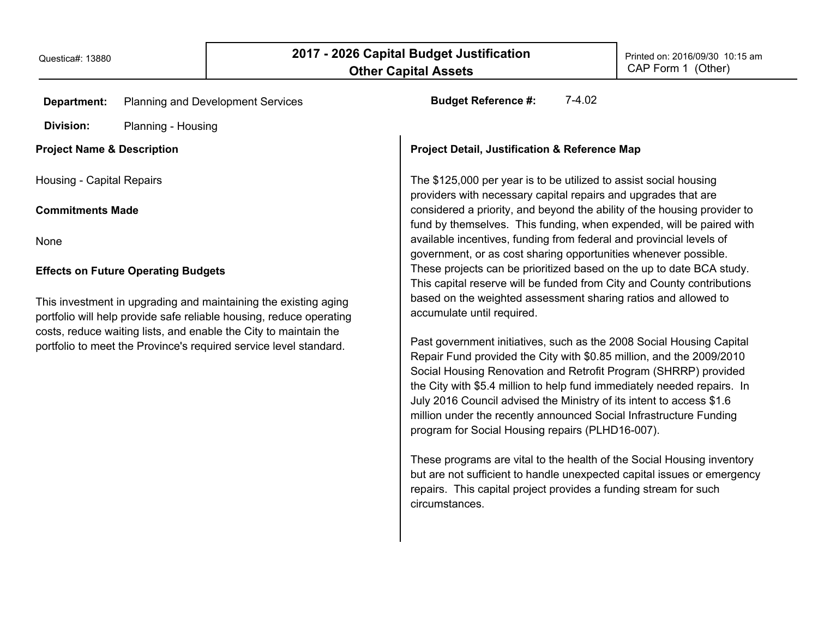| <b>Department:</b>                                                                                            | <b>Planning and Development Services</b>                                                                                                                                                                     | $7-4.02$<br><b>Budget Reference #:</b>                                                                                                                                                                                                                                                                                                                                                                                                                                                                                                                                                                                                                                                                                                              |  |
|---------------------------------------------------------------------------------------------------------------|--------------------------------------------------------------------------------------------------------------------------------------------------------------------------------------------------------------|-----------------------------------------------------------------------------------------------------------------------------------------------------------------------------------------------------------------------------------------------------------------------------------------------------------------------------------------------------------------------------------------------------------------------------------------------------------------------------------------------------------------------------------------------------------------------------------------------------------------------------------------------------------------------------------------------------------------------------------------------------|--|
| Division:                                                                                                     | Planning - Housing                                                                                                                                                                                           |                                                                                                                                                                                                                                                                                                                                                                                                                                                                                                                                                                                                                                                                                                                                                     |  |
| <b>Project Name &amp; Description</b>                                                                         |                                                                                                                                                                                                              | <b>Project Detail, Justification &amp; Reference Map</b>                                                                                                                                                                                                                                                                                                                                                                                                                                                                                                                                                                                                                                                                                            |  |
| Housing - Capital Repairs                                                                                     |                                                                                                                                                                                                              | The \$125,000 per year is to be utilized to assist social housing<br>providers with necessary capital repairs and upgrades that are                                                                                                                                                                                                                                                                                                                                                                                                                                                                                                                                                                                                                 |  |
| <b>Commitments Made</b>                                                                                       |                                                                                                                                                                                                              | considered a priority, and beyond the ability of the housing provider to<br>fund by themselves. This funding, when expended, will be paired with                                                                                                                                                                                                                                                                                                                                                                                                                                                                                                                                                                                                    |  |
| None                                                                                                          |                                                                                                                                                                                                              | available incentives, funding from federal and provincial levels of<br>government, or as cost sharing opportunities whenever possible.                                                                                                                                                                                                                                                                                                                                                                                                                                                                                                                                                                                                              |  |
| <b>Effects on Future Operating Budgets</b><br>This investment in upgrading and maintaining the existing aging |                                                                                                                                                                                                              | These projects can be prioritized based on the up to date BCA study.<br>This capital reserve will be funded from City and County contributions<br>based on the weighted assessment sharing ratios and allowed to                                                                                                                                                                                                                                                                                                                                                                                                                                                                                                                                    |  |
|                                                                                                               | portfolio will help provide safe reliable housing, reduce operating<br>costs, reduce waiting lists, and enable the City to maintain the<br>portfolio to meet the Province's required service level standard. | accumulate until required.<br>Past government initiatives, such as the 2008 Social Housing Capital<br>Repair Fund provided the City with \$0.85 million, and the 2009/2010<br>Social Housing Renovation and Retrofit Program (SHRRP) provided<br>the City with \$5.4 million to help fund immediately needed repairs. In<br>July 2016 Council advised the Ministry of its intent to access \$1.6<br>million under the recently announced Social Infrastructure Funding<br>program for Social Housing repairs (PLHD16-007).<br>These programs are vital to the health of the Social Housing inventory<br>but are not sufficient to handle unexpected capital issues or emergency<br>repairs. This capital project provides a funding stream for such |  |

circumstances.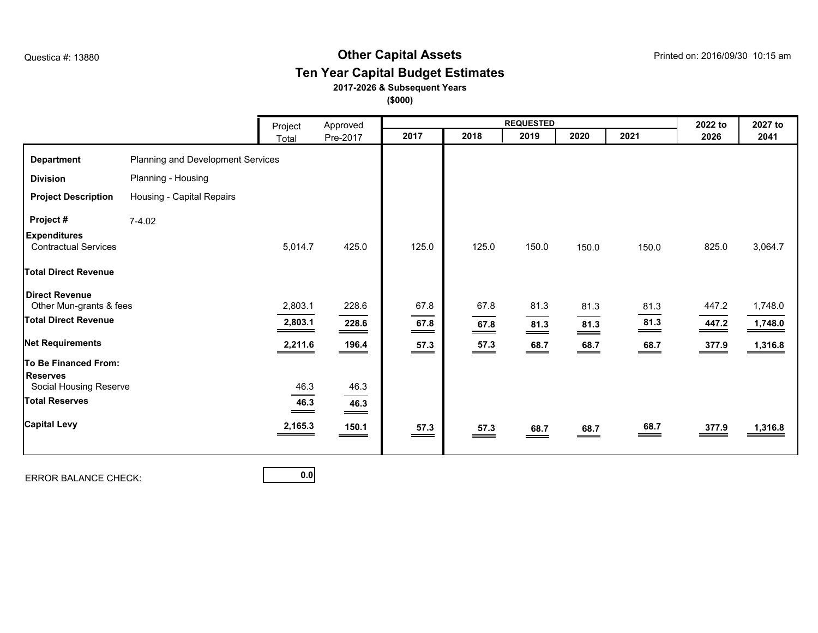## **Other Capital Assets** Questica #: 13880 Printed on: 2016/09/30 10:15 am **Ten Year Capital Budget Estimates**

### **2017-2026 & Subsequent Years**

**(\$000)**

|                                                    |                                   | Project                    | Approved                                                                                                                                                                                                                                                                                                                   |                                                                                                                                                                                                                                                                                                                           |                            | <b>REQUESTED</b>        |                             |                    | 2022 to           | 2027 to |
|----------------------------------------------------|-----------------------------------|----------------------------|----------------------------------------------------------------------------------------------------------------------------------------------------------------------------------------------------------------------------------------------------------------------------------------------------------------------------|---------------------------------------------------------------------------------------------------------------------------------------------------------------------------------------------------------------------------------------------------------------------------------------------------------------------------|----------------------------|-------------------------|-----------------------------|--------------------|-------------------|---------|
|                                                    |                                   | Total                      | Pre-2017                                                                                                                                                                                                                                                                                                                   | 2017                                                                                                                                                                                                                                                                                                                      | 2018                       | 2019                    | 2020                        | 2021               | 2026              | 2041    |
| <b>Department</b>                                  | Planning and Development Services |                            |                                                                                                                                                                                                                                                                                                                            |                                                                                                                                                                                                                                                                                                                           |                            |                         |                             |                    |                   |         |
| <b>Division</b>                                    | Planning - Housing                |                            |                                                                                                                                                                                                                                                                                                                            |                                                                                                                                                                                                                                                                                                                           |                            |                         |                             |                    |                   |         |
| <b>Project Description</b>                         | Housing - Capital Repairs         |                            |                                                                                                                                                                                                                                                                                                                            |                                                                                                                                                                                                                                                                                                                           |                            |                         |                             |                    |                   |         |
| Project#                                           | $7-4.02$                          |                            |                                                                                                                                                                                                                                                                                                                            |                                                                                                                                                                                                                                                                                                                           |                            |                         |                             |                    |                   |         |
| <b>Expenditures</b><br><b>Contractual Services</b> |                                   | 5,014.7                    | 425.0                                                                                                                                                                                                                                                                                                                      | 125.0                                                                                                                                                                                                                                                                                                                     | 125.0                      | 150.0                   | 150.0                       | 150.0              | 825.0             | 3,064.7 |
| <b>Total Direct Revenue</b>                        |                                   |                            |                                                                                                                                                                                                                                                                                                                            |                                                                                                                                                                                                                                                                                                                           |                            |                         |                             |                    |                   |         |
| <b>Direct Revenue</b><br>Other Mun-grants & fees   |                                   | 2,803.1                    | 228.6                                                                                                                                                                                                                                                                                                                      | 67.8                                                                                                                                                                                                                                                                                                                      | 67.8                       | 81.3                    | 81.3                        | 81.3               | 447.2             | 1,748.0 |
| <b>Total Direct Revenue</b>                        |                                   | 2,803.1                    | 228.6<br>$\hspace{0.05cm}$ $\hspace{0.05cm}$ $\hspace{0.05cm}$ $\hspace{0.05cm}$ $\hspace{0.05cm}$ $\hspace{0.05cm}$ $\hspace{0.05cm}$ $\hspace{0.05cm}$ $\hspace{0.05cm}$ $\hspace{0.05cm}$ $\hspace{0.05cm}$ $\hspace{0.05cm}$ $\hspace{0.05cm}$ $\hspace{0.05cm}$ $\hspace{0.05cm}$ $\hspace{0.05cm}$ $\hspace{0.05cm}$ | 67.8<br>$\hspace{0.05cm}$ $\hspace{0.05cm}$ $\hspace{0.05cm}$ $\hspace{0.05cm}$ $\hspace{0.05cm}$ $\hspace{0.05cm}$ $\hspace{0.05cm}$ $\hspace{0.05cm}$ $\hspace{0.05cm}$ $\hspace{0.05cm}$ $\hspace{0.05cm}$ $\hspace{0.05cm}$ $\hspace{0.05cm}$ $\hspace{0.05cm}$ $\hspace{0.05cm}$ $\hspace{0.05cm}$ $\hspace{0.05cm}$ | 67.8<br>$\equiv$           | 81.3<br>$\equiv$        | 81.3<br>$\hspace{0.05cm} =$ | 81.3<br>___        | 447.2             | 1,748.0 |
| <b>Net Requirements</b>                            |                                   | 2,211.6                    | 196.4                                                                                                                                                                                                                                                                                                                      | 57.3<br>$\qquad \qquad =$                                                                                                                                                                                                                                                                                                 | 57.3<br>$\hspace{1.5cm} =$ | 68.7<br>$\qquad \qquad$ | 68.7<br>$\hspace{0.05cm} =$ | $\underline{68.7}$ | $\frac{377.9}{2}$ | 1,316.8 |
| To Be Financed From:<br><b>Reserves</b>            |                                   |                            |                                                                                                                                                                                                                                                                                                                            |                                                                                                                                                                                                                                                                                                                           |                            |                         |                             |                    |                   |         |
| Social Housing Reserve                             |                                   | 46.3                       | 46.3                                                                                                                                                                                                                                                                                                                       |                                                                                                                                                                                                                                                                                                                           |                            |                         |                             |                    |                   |         |
| <b>Total Reserves</b>                              |                                   | 46.3<br>$\hspace{.05cm} =$ | 46.3<br>$\hspace{1.5cm} =$                                                                                                                                                                                                                                                                                                 |                                                                                                                                                                                                                                                                                                                           |                            |                         |                             |                    |                   |         |
| <b>Capital Levy</b>                                |                                   | 2,165.3                    | 150.1                                                                                                                                                                                                                                                                                                                      | 57.3<br>__                                                                                                                                                                                                                                                                                                                | 57.3<br>$=$                | 68.7<br>__              | 68.7<br>$\hspace{0.05cm}$   | 68.7               | 377.9             | 1,316.8 |
|                                                    |                                   |                            |                                                                                                                                                                                                                                                                                                                            |                                                                                                                                                                                                                                                                                                                           |                            |                         |                             |                    |                   |         |

ERROR BALANCE CHECK: **0.0**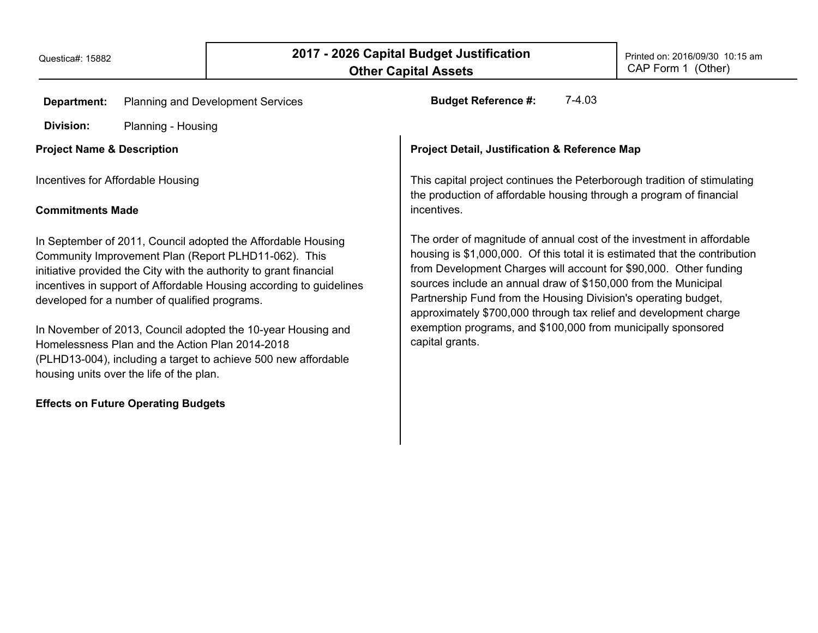| Department:                                                                                                                                                                                | <b>Planning and Development Services</b>                                                                   | $7-4.03$<br><b>Budget Reference #:</b>                                                                                                                                                                                                                                     |  |  |  |  |  |
|--------------------------------------------------------------------------------------------------------------------------------------------------------------------------------------------|------------------------------------------------------------------------------------------------------------|----------------------------------------------------------------------------------------------------------------------------------------------------------------------------------------------------------------------------------------------------------------------------|--|--|--|--|--|
| Division:                                                                                                                                                                                  | Planning - Housing                                                                                         |                                                                                                                                                                                                                                                                            |  |  |  |  |  |
| <b>Project Name &amp; Description</b>                                                                                                                                                      |                                                                                                            | <b>Project Detail, Justification &amp; Reference Map</b>                                                                                                                                                                                                                   |  |  |  |  |  |
| Incentives for Affordable Housing                                                                                                                                                          |                                                                                                            | This capital project continues the Peterborough tradition of stimulating<br>the production of affordable housing through a program of financial<br>incentives.                                                                                                             |  |  |  |  |  |
| <b>Commitments Made</b><br>In September of 2011, Council adopted the Affordable Housing<br>Community Improvement Plan (Report PLHD11-062). This                                            |                                                                                                            | The order of magnitude of annual cost of the investment in affordable<br>housing is \$1,000,000. Of this total it is estimated that the contribution                                                                                                                       |  |  |  |  |  |
| initiative provided the City with the authority to grant financial<br>incentives in support of Affordable Housing according to guidelines<br>developed for a number of qualified programs. |                                                                                                            | from Development Charges will account for \$90,000. Other funding<br>sources include an annual draw of \$150,000 from the Municipal<br>Partnership Fund from the Housing Division's operating budget,<br>approximately \$700,000 through tax relief and development charge |  |  |  |  |  |
| In November of 2013, Council adopted the 10-year Housing and<br>Homelessness Plan and the Action Plan 2014-2018                                                                            |                                                                                                            | exemption programs, and \$100,000 from municipally sponsored<br>capital grants.                                                                                                                                                                                            |  |  |  |  |  |
|                                                                                                                                                                                            | (PLHD13-004), including a target to achieve 500 new affordable<br>housing units over the life of the plan. |                                                                                                                                                                                                                                                                            |  |  |  |  |  |
|                                                                                                                                                                                            | <b>Effects on Future Operating Budgets</b>                                                                 |                                                                                                                                                                                                                                                                            |  |  |  |  |  |